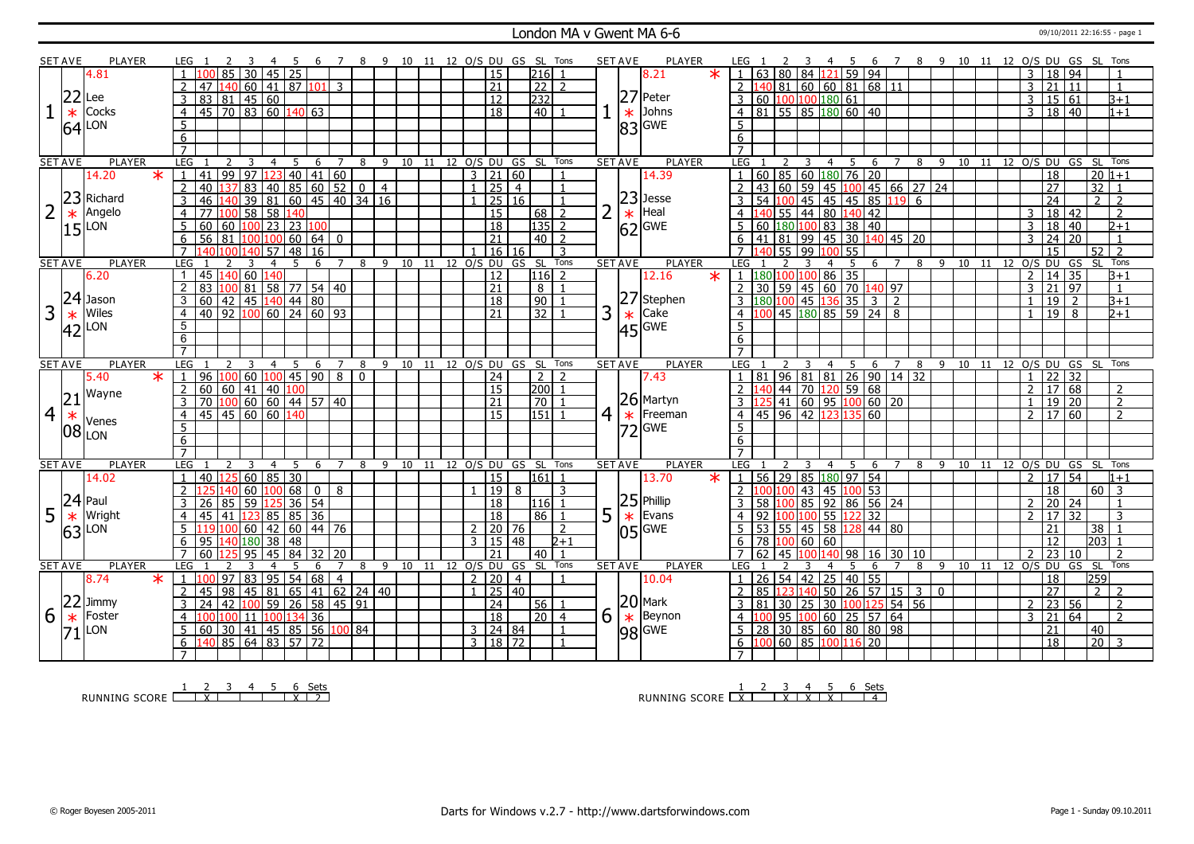### London MA v Gwent MA 6-6 09/10/2011 22:16:55 - page 1

|                | <b>SET AVE</b> | <b>PLAYER</b>                    |                                   | LEG 1                                   |                                                             |     |                    | $\overline{7}$ |              | 8 9 10 11 12 O/S DU GS SL Tons |            |    |           |                         |                 |                              |                   |                |                | <b>SET AVE</b> | <b>PLAYER</b>          | LEG 1                             |                                           | -3                      | -4              | -5                      | -6                                | 7 8 9 10 11 12 O/S DU GS SL Tons |   |                |                 |       |                            |                |                     |                 |                 |                              |
|----------------|----------------|----------------------------------|-----------------------------------|-----------------------------------------|-------------------------------------------------------------|-----|--------------------|----------------|--------------|--------------------------------|------------|----|-----------|-------------------------|-----------------|------------------------------|-------------------|----------------|----------------|----------------|------------------------|-----------------------------------|-------------------------------------------|-------------------------|-----------------|-------------------------|-----------------------------------|----------------------------------|---|----------------|-----------------|-------|----------------------------|----------------|---------------------|-----------------|-----------------|------------------------------|
|                |                | 4.81                             |                                   | $\overline{85}$                         | 30   45   25                                                |     |                    |                |              |                                |            |    |           |                         | $\overline{15}$ |                              | $ 216 $ 1         |                |                |                | 8.21<br>$\ast$         | $\blacksquare$                    | 63   80   84   <mark>121</mark>   59   94 |                         |                 |                         |                                   |                                  |   |                |                 |       |                            | $\overline{3}$ | 18 94               |                 |                 |                              |
|                |                |                                  | $\overline{2}$                    | 140 60 41 87 101 3<br>47                |                                                             |     |                    |                |              |                                |            |    |           |                         | $\overline{21}$ |                              | $\sqrt{22}$ 2     |                |                |                |                        | $\overline{2}$                    | 140 81 60 60 81 68 11                     |                         |                 |                         |                                   |                                  |   |                |                 |       |                            | $\overline{3}$ | $\overline{21}$     | 11              |                 | $\mathbf{1}$                 |
|                | 22             | Lee                              | $\overline{3}$                    | 83 81 45 60                             |                                                             |     |                    |                |              |                                |            |    |           |                         | $\overline{12}$ |                              | 232               |                |                |                | 27 Peter               | 3                                 | 60 100 100 180 61                         |                         |                 |                         |                                   |                                  |   |                |                 |       |                            | 3              | 15 61               |                 |                 | $B+1$                        |
| $\mathbf{1}$   | $\ast$         | Cocks                            | $\overline{4}$                    | 45 70 83 60 140 63                      |                                                             |     |                    |                |              |                                |            |    |           |                         | $\overline{18}$ |                              | $40$ 1            |                |                |                | Johns                  | $\overline{4}$                    | 81 55 85 180 60 40                        |                         |                 |                         |                                   |                                  |   |                |                 |       |                            | $\overline{3}$ | 18 40               |                 |                 | $1 + 1$                      |
|                |                |                                  |                                   |                                         |                                                             |     |                    |                |              |                                |            |    |           |                         |                 |                              |                   |                |                | $\ast$         |                        |                                   |                                           |                         |                 |                         |                                   |                                  |   |                |                 |       |                            |                |                     |                 |                 |                              |
|                | 64             | LON                              | 5                                 |                                         |                                                             |     |                    |                |              |                                |            |    |           |                         |                 |                              |                   |                |                |                | $ 83 $ GWE             | 5                                 |                                           |                         |                 |                         |                                   |                                  |   |                |                 |       |                            |                |                     |                 |                 |                              |
|                |                |                                  | 6                                 |                                         |                                                             |     |                    |                |              |                                |            |    |           |                         |                 |                              |                   |                |                |                |                        | 6                                 |                                           |                         |                 |                         |                                   |                                  |   |                |                 |       |                            |                |                     |                 |                 |                              |
|                |                |                                  | $\overline{7}$                    |                                         |                                                             |     |                    |                |              |                                |            |    |           |                         |                 |                              |                   |                |                |                |                        |                                   |                                           |                         |                 |                         |                                   | $\overline{7}$                   |   |                |                 |       |                            |                |                     |                 |                 |                              |
|                | <b>SET AVE</b> | <b>PLAYER</b><br>14.20<br>$\ast$ | LEG                               | 3<br>2<br>$\overline{99}$<br>41         | $\overline{4}$<br>$97 \vert 123 \vert 40 \vert 41 \vert 60$ | 5   | 6                  | $\overline{7}$ | 8            | 9 10 11 12 O/S DU GS SL Tons   |            |    |           | $\overline{\mathbf{3}}$ | $\overline{21}$ | $\sqrt{60}$                  |                   |                |                | <b>SET AVE</b> | <b>PLAYER</b><br>14.39 | LEG 1                             | 2<br>$60$ 85 60 180 76 20                 | $\overline{\mathbf{3}}$ | $\overline{4}$  | $5^{\circ}$             | 6                                 |                                  | 8 | $\overline{9}$ |                 |       | 10 11 12 0/S DU GS SL Tons |                | 18                  |                 |                 | $20 1+1$                     |
|                |                |                                  |                                   |                                         |                                                             |     |                    |                |              |                                |            |    |           |                         |                 |                              |                   |                |                |                |                        |                                   |                                           |                         |                 |                         |                                   |                                  |   |                |                 |       |                            |                |                     |                 |                 |                              |
|                | 23             |                                  | $\overline{2}$                    | 40                                      | 83 40 85 60 52                                              |     |                    |                | $\mathbf 0$  | $\overline{4}$                 |            |    |           |                         | 25              | $\overline{4}$               |                   |                |                |                | $23$ Jesse             | 43                                | 60                                        |                         |                 |                         | 59 45 100 45 66 27 24             |                                  |   |                |                 |       |                            |                | $\overline{27}$     |                 | $\overline{32}$ |                              |
|                |                | Richard                          | $\overline{3}$                    | 46<br>40                                | $39 \ 81 \ 60 \ 45 \ 40 \ 34 \ 16$                          |     |                    |                |              |                                |            |    |           |                         | 25 16           |                              |                   |                |                |                |                        | $\overline{54}$                   |                                           |                         |                 |                         | 45 45 45 85 119 6                 |                                  |   |                |                 |       |                            |                | $\overline{24}$     |                 | $\overline{2}$  | $\overline{2}$               |
| $\overline{2}$ | $\ast$         | Angelo                           | $\overline{4}$                    | 77<br>۱M                                | $58$ 58                                                     | 140 |                    |                |              |                                |            |    |           |                         | 15              |                              | $68$   2          |                |                | $\ast$         | Heal                   | 4                                 |                                           |                         |                 | 55   44   80   140   42 |                                   |                                  |   |                |                 |       |                            | 3              | $18 \mid 42$        |                 |                 | $\overline{2}$               |
|                | 15             | LON                              | 5                                 | 60 100 23 23 100<br>60                  |                                                             |     |                    |                |              |                                |            |    |           |                         | $\overline{18}$ |                              | $ 135 $ 2         |                |                |                | $62$ <sup>GWE</sup>    | $5^{\circ}$                       | 60 180 100 83 38 40                       |                         |                 |                         |                                   |                                  |   |                |                 |       |                            | $\overline{3}$ |                     | 18   40         |                 | $\sqrt{2+1}$                 |
|                |                |                                  | 6                                 | $\overline{56}$<br>81                   | 100 100 60 64                                               |     |                    | $\mathbf{0}$   |              |                                |            |    |           |                         | $\overline{21}$ |                              | $40$   2          |                |                |                |                        | 6<br>41                           |                                           |                         |                 |                         | 81   99   45   30   140   45   20 |                                  |   |                |                 |       |                            | 3              | $\overline{24}$     | $\overline{20}$ |                 | $\mathbf{1}$                 |
|                |                |                                  | $\overline{7}$                    | 140<br>۱nn<br>140 I                     |                                                             |     | $57$ 48 16         |                |              |                                |            |    |           |                         | 16 16           |                              |                   | 3              |                |                |                        | $\overline{7}$                    |                                           |                         | 55 99 100 55    |                         |                                   |                                  |   |                |                 |       |                            |                | $\overline{15}$     |                 | 52              | $\overline{2}$               |
|                | <b>SET AVE</b> | <b>PLAYER</b>                    | LEG                               | 3                                       | $\overline{4}$                                              | 5   | 6                  | $\overline{7}$ | 8            | $\overline{9}$                 | $10 \t 11$ |    | 12 0/S DU |                         |                 | GS SL                        |                   | Tons           |                | <b>SET AVE</b> | <b>PLAYER</b>          | LEG                               |                                           | 3                       |                 | 5                       | 6                                 | $\overline{7}$                   | 8 | $\overline{9}$ | $\overline{10}$ | 11    | 12 0/S DU                  |                |                     | GS              | SL              | Tons                         |
|                |                | 6.20                             | $\overline{1}$                    | 45<br> 40                               | 60 140                                                      |     |                    |                |              |                                |            |    |           |                         | 12              |                              | 116 2             |                |                |                | 12.16<br>$\ast$        | 11180100100                       |                                           |                         |                 | 86 35                   |                                   |                                  |   |                |                 |       |                            | $\overline{2}$ | 14                  | 35              |                 | $B+1$                        |
|                |                |                                  | 2                                 | 83<br>100 81 58 77 54 40                |                                                             |     |                    |                |              |                                |            |    |           |                         | $\overline{21}$ |                              | 8 1               |                |                |                |                        | $\overline{2}$<br>30 <sup>1</sup> |                                           |                         |                 |                         | 59 45 60 70 140 97                |                                  |   |                |                 |       |                            | 3              | $\overline{21}$     | 97              |                 | $\overline{1}$               |
|                | 24             | Jason                            | 3                                 | $42$ $ 45$ $ 140 $ $ 44 $ $ 80 $<br>60  |                                                             |     |                    |                |              |                                |            |    |           |                         | $\overline{18}$ |                              | 90 1              |                |                |                | 27 Stephen             |                                   | $180\,100$ 45 $136$ 35 3 2                |                         |                 |                         |                                   |                                  |   |                |                 |       |                            | $\overline{1}$ | 19                  | <sup>2</sup>    |                 | $B+1$                        |
| 3              | $*$<br>42      | Wiles                            | $\overline{4}$                    | 92  100  60  24   60  93<br>40          |                                                             |     |                    |                |              |                                |            |    |           |                         | $\overline{21}$ |                              | $\overline{32}$ 1 |                | 3              | $\ast$         | Cake                   |                                   |                                           |                         |                 |                         | 45 180 85 59 24 8                 |                                  |   |                |                 |       |                            | $\overline{1}$ | 19                  | 8               |                 | $2+1$                        |
|                |                | LON                              | $\overline{5}$                    |                                         |                                                             |     |                    |                |              |                                |            |    |           |                         |                 |                              |                   |                |                |                | $45$ GWE               | 5                                 |                                           |                         |                 |                         |                                   |                                  |   |                |                 |       |                            |                |                     |                 |                 |                              |
|                |                |                                  | 6                                 |                                         |                                                             |     |                    |                |              |                                |            |    |           |                         |                 |                              |                   |                |                |                |                        | 6                                 |                                           |                         |                 |                         |                                   |                                  |   |                |                 |       |                            |                |                     |                 |                 |                              |
|                |                |                                  | $\overline{7}$                    |                                         |                                                             |     |                    |                |              |                                |            |    |           |                         |                 |                              |                   |                |                |                |                        | $\overline{7}$                    |                                           |                         |                 |                         |                                   |                                  |   |                |                 |       |                            |                |                     |                 |                 |                              |
|                |                |                                  |                                   |                                         |                                                             |     |                    |                |              |                                |            |    |           |                         |                 |                              |                   |                |                |                |                        |                                   |                                           |                         |                 |                         |                                   |                                  |   |                |                 |       |                            |                |                     |                 |                 |                              |
|                | <b>SET AVE</b> | <b>PLAYER</b>                    | LEG                               |                                         | 4                                                           | 5   | 6                  | 7              | 8            | 9                              | 10         | 11 |           |                         |                 | 12 O/S DU GS SL Tons         |                   |                |                | <b>SET AVE</b> | <b>PLAYER</b>          | LEG                               |                                           |                         | 4               | 5                       | 6                                 | 7                                | 8 | 9              | 10              | 11    |                            |                |                     |                 |                 | 12 O/S DU GS SL Tons         |
|                |                | $\ast$<br>5.40                   |                                   | 96<br>100                               | $60 \mid 100 \mid 45 \mid 90$                               |     |                    | $\overline{8}$ | $\mathbf{0}$ |                                |            |    |           |                         | $\overline{24}$ |                              | $\overline{2}$    | $\overline{z}$ |                |                | 7.43                   | 81<br>$\overline{1}$              |                                           | $96$ 81                 | $\overline{81}$ |                         | $26$ 90 14 32                     |                                  |   |                |                 |       |                            | $\overline{1}$ | $\overline{22}$     | 32              |                 |                              |
|                |                |                                  | $\overline{2}$                    | 60<br>60   41   40   100                |                                                             |     |                    |                |              |                                |            |    |           |                         | $\overline{15}$ |                              | 200 1             |                |                |                |                        | $\overline{2}$                    |                                           |                         |                 | 44 70 120 59 68         |                                   |                                  |   |                |                 |       |                            | $\overline{2}$ | 17 68               |                 |                 | $\overline{2}$               |
|                | 21             | Wayne                            | $\overline{3}$                    | 70                                      |                                                             |     |                    |                |              |                                |            |    |           |                         | $\overline{21}$ |                              | $\overline{70}$   |                |                |                | $26$ Martyn            | $\overline{3}$                    |                                           |                         |                 |                         |                                   |                                  |   |                |                 |       |                            | $\overline{1}$ |                     |                 |                 | $\overline{2}$               |
|                |                |                                  | $\overline{4}$                    | 100 60 60 44 57 40                      |                                                             |     |                    |                |              |                                |            |    |           |                         | 15              |                              | $ 151 $ 1         |                |                |                |                        | $\overline{4}$                    |                                           |                         |                 |                         | 41   60   95   100   60   20      |                                  |   |                |                 |       |                            | $\overline{2}$ | 19 20<br>17 60      |                 |                 | $\overline{2}$               |
| $\overline{4}$ | $\ast$         | Venes                            |                                   | 45 45 60 60 140                         |                                                             |     |                    |                |              |                                |            |    |           |                         |                 |                              |                   |                | 4 <sup>1</sup> | $\ast$         | Freeman                |                                   | 45 96 42 123 135 60                       |                         |                 |                         |                                   |                                  |   |                |                 |       |                            |                |                     |                 |                 |                              |
|                |                | $ 08 _{LON}$                     | 5                                 |                                         |                                                             |     |                    |                |              |                                |            |    |           |                         |                 |                              |                   |                |                |                | 72 GWE                 | 5                                 |                                           |                         |                 |                         |                                   |                                  |   |                |                 |       |                            |                |                     |                 |                 |                              |
|                |                |                                  | $6\overline{6}$<br>$\overline{7}$ |                                         |                                                             |     |                    |                |              |                                |            |    |           |                         |                 |                              |                   |                |                |                |                        | 6<br>$\overline{7}$               |                                           |                         |                 |                         |                                   |                                  |   |                |                 |       |                            |                |                     |                 |                 |                              |
|                |                | <b>PLAYER</b>                    |                                   | 3                                       | $\overline{4}$                                              |     | 6                  | $\overline{7}$ | 8            | -9                             |            |    |           |                         |                 |                              |                   | Tons           |                |                |                        |                                   |                                           |                         | 4               | -5                      |                                   |                                  | 8 | -9             | 10              | $-11$ |                            |                |                     |                 |                 | Tons                         |
|                | <b>SET AVE</b> |                                  | <b>LEG</b><br>$\overline{1}$      | 25                                      |                                                             | 5   |                    |                |              |                                |            |    |           |                         |                 | 10 11 12 0/S DU GS SL        |                   |                |                | <b>SET AVE</b> | <b>PLAYER</b>          | <b>LEG</b><br>$\overline{1}$      |                                           |                         |                 |                         | 6                                 |                                  |   |                |                 |       | 12 O/S DU GS SL            | $\overline{2}$ | $17 \overline{)54}$ |                 |                 |                              |
|                |                | 14.02                            |                                   | 40                                      | $60$ 85 30                                                  |     |                    |                |              |                                |            |    |           |                         | $\overline{15}$ |                              | $ 161 $ 1         |                |                |                | 13.70                  | 56                                |                                           |                         |                 | 29 85 180 97 54         |                                   |                                  |   |                |                 |       |                            |                |                     |                 |                 | $1 + 1$                      |
|                |                |                                  | $\overline{2}$                    |                                         | $60$  100 68                                                |     | $\overline{0}$     | 8              |              |                                |            |    |           |                         | $\overline{19}$ | 8                            |                   | 3              |                |                |                        | $\overline{2}$                    | 00 100                                    | 43                      |                 | 45 100 53               |                                   |                                  |   |                |                 |       |                            |                | 18                  |                 |                 | $60$ 3                       |
|                | 24             | Paul                             |                                   | 26<br>85<br>59                          |                                                             |     | $36\overline{)54}$ |                |              |                                |            |    |           |                         | 18              |                              | 116               |                |                |                | $25$ Phillip           | 58                                |                                           | 85                      |                 |                         | $92$ 86 56 24                     |                                  |   |                |                 |       |                            | $\overline{2}$ | 20                  | 24              |                 |                              |
| 5              | $\ast$         | Wright                           | $\overline{4}$                    | 45<br>41                                | 123 85 85 36                                                |     |                    |                |              |                                |            |    |           |                         | 18              |                              | 86                | -1             | 5              | $\ast$         | Evans                  | 4                                 |                                           |                         | 55              |                         | 32                                |                                  |   |                |                 |       |                            | $\overline{2}$ | $\overline{17}$     | $\overline{32}$ |                 | 3                            |
|                | 63             | LON                              | $5^{\circ}$                       | nol                                     | 60 42 60 44 76                                              |     |                    |                |              |                                |            |    |           | $\overline{2}$          | 20 76           |                              |                   | $\overline{2}$ |                |                | $05$ GWE               | .5.                               | 53 55 45 58 128                           |                         |                 |                         | 44 80                             |                                  |   |                |                 |       |                            |                | 21                  |                 | 38              |                              |
|                |                |                                  | 6                                 | 140 180 38 48<br>95                     |                                                             |     |                    |                |              |                                |            |    |           | 3                       | 15 48           |                              |                   | $2 + 1$        |                |                |                        | 78<br>6                           | 100                                       | 60                      | 60              |                         |                                   |                                  |   |                |                 |       |                            |                | 12                  |                 | 20311           |                              |
|                |                |                                  | $\overline{7}$                    | 60<br>125                               | 95   45   84   32   20                                      |     |                    |                |              |                                |            |    |           |                         | 21              |                              | l 40 l 1          |                |                |                |                        | $\overline{7}$<br>62              | 45                                        |                         |                 | 140 98                  | $16$ 30 10                        |                                  |   |                |                 |       |                            | $\mathcal{P}$  | $\overline{23}$     | 10              |                 | $\overline{z}$               |
|                | <b>SET AVE</b> | PLAYER                           | LEG.                              |                                         |                                                             | -5  | 6                  | 7              | 8            |                                |            |    |           |                         |                 | 9 10 11 12 O/S DU GS SL Tons |                   |                |                | <b>SET AVE</b> | <b>PLAYER</b>          | LEG                               |                                           |                         | 4               | 5.                      | 6                                 | $\overline{7}$                   | 8 |                |                 |       |                            |                |                     |                 |                 | 9 10 11 12 O/S DU GS SL Tons |
|                |                | 8.74<br>$\ast$                   | $\overline{1}$                    | 97   83   95   54   68<br>100           |                                                             |     |                    | $\overline{4}$ |              |                                |            |    |           |                         | 2 20            | $\overline{4}$               |                   |                |                |                | 10.04                  | $\vert$ 1                         | 26 54 42                                  |                         |                 | $25 \mid 40 \mid 55$    |                                   |                                  |   |                |                 |       |                            |                | 18                  |                 | 259             |                              |
|                |                |                                  | 2                                 | 98<br>45                                | 45 81 65 41 62 24 40                                        |     |                    |                |              |                                |            |    |           | $\mathbf{1}$            | 25 40           |                              |                   |                |                |                |                        | 85                                |                                           | 40                      |                 | 50 26                   | 57 15 3 0                         |                                  |   |                |                 |       |                            |                | $\overline{27}$     |                 | $\overline{2}$  | $\mathcal{L}$                |
|                |                | Jimmy                            | 3                                 | 24<br>42                                | $100$ 59 26 58 45 91                                        |     |                    |                |              |                                |            |    |           |                         | $\sqrt{24}$     |                              | 56 1              |                |                |                | $20$ Mark              | 3<br>81                           | 30                                        | 25 I                    |                 |                         | 30 100 125 54 56                  |                                  |   |                |                 |       |                            | 2              | 23   56             |                 |                 | $\overline{2}$               |
| 6              | $\frac{22}{*}$ | Foster                           | 4                                 |                                         | 11 100 134 36                                               |     |                    |                |              |                                |            |    |           |                         | $\overline{18}$ |                              | $\sqrt{20}$ 4     |                | 6              | $\ast$         | Beynon                 | $\overline{4}$                    |                                           |                         |                 |                         | 95 100 60 25 57 64                |                                  |   |                |                 |       |                            | 3              | $\overline{21}$     | 64              |                 | $\overline{z}$               |
|                | 71             | LON                              |                                   | 30   41   45   85   56   100   84<br>60 |                                                             |     |                    |                |              |                                |            |    |           |                         | 3   24   84     |                              |                   | $\overline{1}$ |                |                |                        | 28                                |                                           |                         |                 |                         | 30 85 60 80 80 98                 |                                  |   |                |                 |       |                            |                | 21                  |                 | 40              |                              |
|                |                |                                  | 6                                 | 140 85 64 83 57 72                      |                                                             |     |                    |                |              |                                |            |    |           |                         | 3   18   72     |                              |                   |                |                |                | 98 GWE                 | 6 1                               | 00 60 85 100 116 20                       |                         |                 |                         |                                   |                                  |   |                |                 |       |                            |                | $\overline{18}$     |                 | $20 \mid 3$     |                              |

RUNNING SCORE <u>| X | 1 | | X | 2</u><br>RUNNING SCORE <u>| X | 1 | | X | 2</u>

RUNNING SCORE 1 X 2 3 X 4 X 5 X 6 Sets 4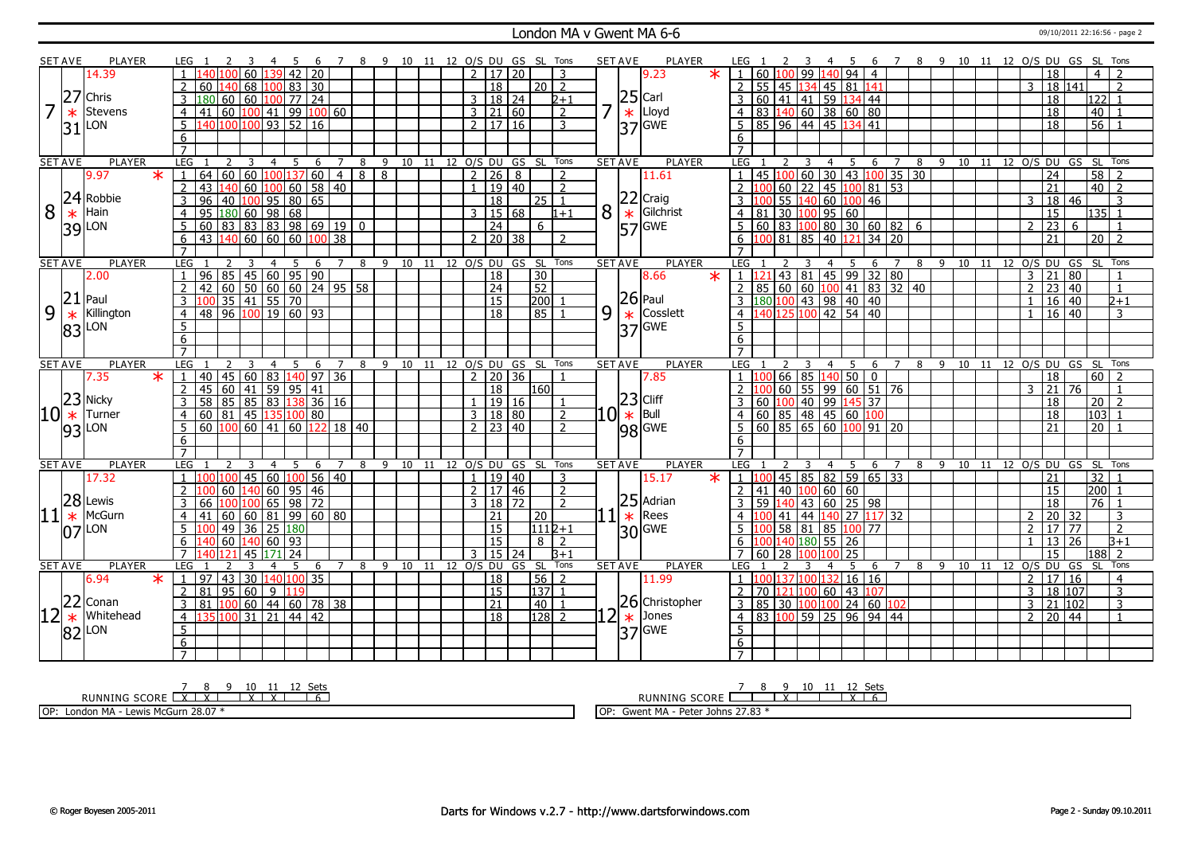#### London MA v Gwent MA 6-6 09/10/2011 22:16:56 - page 2

|                | <b>SET AVE</b> | <b>PLAYER</b>  | LEG.                                      | - 5<br>-4<br>- 6                               | 7 8 9 10 11 12 O/S DU GS SL Tons |     |  |                       |         |                              |   | <b>SET AVE</b> | PLAYER                                                  | LEG                                                        | 4                                 | - 5<br>- 6          |                |   |                           |    |                                   |              | 7 8 9 10 11 12 O/S DU GS SL Tons  |
|----------------|----------------|----------------|-------------------------------------------|------------------------------------------------|----------------------------------|-----|--|-----------------------|---------|------------------------------|---|----------------|---------------------------------------------------------|------------------------------------------------------------|-----------------------------------|---------------------|----------------|---|---------------------------|----|-----------------------------------|--------------|-----------------------------------|
|                |                | 14.39          | 40 100 60<br>$\overline{1}$               | $139$ 42 20                                    |                                  |     |  | $\mathcal{L}$         | 17   20 | 3                            |   |                | $\star$<br>9.23                                         | 1   60   100   99   140   94   4                           |                                   |                     |                |   |                           |    | 18                                |              | $\overline{4}$                    |
|                |                |                | 60<br>L40                                 | 100 83 30<br>68                                |                                  |     |  | $\overline{18}$       |         | 20 2                         |   |                |                                                         | $\vert$ 55 45 134 45 81 141<br>$\overline{2}$              |                                   |                     |                |   |                           |    | 3                                 | 18 141       | 2                                 |
|                | 27             | Chris          | $\overline{60}$<br>80<br>60               | $ 100 $ 77   24                                |                                  |     |  | 3                     | $18$ 24 | $2+1$                        |   |                |                                                         |                                                            | 60 41 41 59 134 44                |                     |                |   |                           |    | 18                                |              | 122                               |
| 7              |                |                |                                           |                                                |                                  |     |  |                       |         |                              | 7 |                |                                                         |                                                            |                                   |                     |                |   |                           |    |                                   |              |                                   |
|                | $\ast$         | <b>Stevens</b> | 41<br>4                                   | $60 \mid 100 \mid 41 \mid 99 \mid 100 \mid 60$ |                                  |     |  | 3   21   60           |         | $\overline{2}$               |   |                | $\begin{array}{c} 25 \\ \times \\ 37 \end{array}$ Lloyd | $4$ 83 140 60 38 60 80                                     |                                   |                     |                |   |                           |    | 18                                |              | 40                                |
|                | 31             | LON            | 5                                         | 40 100 100 93 52 16                            |                                  |     |  | 2   17   16           |         | $\overline{3}$               |   |                |                                                         | 85 96 44 45 134 41<br>5 <sup>5</sup>                       |                                   |                     |                |   |                           |    | 18                                |              | $\overline{56}$                   |
|                |                |                | 6                                         |                                                |                                  |     |  |                       |         |                              |   |                |                                                         | 6                                                          |                                   |                     |                |   |                           |    |                                   |              |                                   |
|                |                |                | $\overline{7}$                            |                                                |                                  |     |  |                       |         |                              |   |                |                                                         | $\overline{7}$                                             |                                   |                     |                |   |                           |    |                                   |              |                                   |
|                | <b>SET AVE</b> | <b>PLAYER</b>  | LEG                                       | 5<br>6<br>3<br>$\overline{4}$                  | $\overline{7}$<br>8              | 9   |  | 10 11 12 O/S DU       | GS      | SL Tons                      |   | <b>SET AVE</b> | <b>PLAYER</b>                                           | LEG                                                        | $\overline{4}$                    | 5 <sup>5</sup><br>6 | $\overline{7}$ | 8 | $9 \t10 \t11$             |    |                                   |              | 12 O/S DU GS SL Tons              |
|                |                | 9.97<br>$\ast$ | 64<br>1                                   | $60 \mid 60 \mid 100 \mid 137 \mid 60$         | $\overline{4}$<br>8              | 8   |  | 2 26                  | 8       | $\overline{2}$               |   |                | 11.61                                                   | $1   45   100   60   30   43   100   35   30$              |                                   |                     |                |   |                           |    | $\overline{24}$                   |              | 58<br>$\overline{z}$              |
|                |                |                | $\overline{2}$<br>43<br>40                | 58<br>60<br>60<br>100                          | $ 40\rangle$                     |     |  | $\mathbf{1}$          | 19 40   | 2                            |   |                |                                                         | 2                                                          | 60   22   45   100   81   53      |                     |                |   |                           |    | 21                                |              | $40$   2                          |
|                |                | 24 Robbie      | 96<br>3<br>40<br>100                      | $\frac{1}{95}$ 80 65                           |                                  |     |  | $\overline{18}$       |         | 25 1                         |   |                |                                                         | $3 \, 100$                                                 | 55 140 60 100 46                  |                     |                |   |                           |    | 18<br>3                           | 46           | 3                                 |
| 8              | $\ast$         | Hain           | 95<br>180 60<br>$\overline{4}$            | $\frac{1}{98}$<br>68                           |                                  |     |  | 3   15   68           |         | $1 + 1$                      | 8 |                | Gilchrist                                               | $4 \ 81 \ 30 \ 100 \ 95 \ 60$                              |                                   |                     |                |   |                           |    | $\overline{15}$                   |              | $135$ 1                           |
|                |                | 39 LON         | $\overline{5}$<br>60<br>  83              | 83 83 98 69 19                                 | $\mathbf 0$                      |     |  | $\overline{24}$       |         | 6                            |   |                | 22 Craig<br>* Gilchri<br>57 GWE                         | 5 60 83 100 80 30 60 82 6                                  |                                   |                     |                |   |                           |    | $\overline{23}$<br>2              | 6            |                                   |
|                |                |                | 6<br>43<br>140                            | 60 60 60<br>100                                | 38                               |     |  | $2$ 20 38             |         | $\overline{z}$               |   |                |                                                         | 6 100 81 85 40 121 34 20                                   |                                   |                     |                |   |                           |    | $\overline{21}$                   |              | $\overline{20}$   2               |
|                |                |                | $\overline{7}$                            |                                                |                                  |     |  |                       |         |                              |   |                |                                                         |                                                            |                                   |                     |                |   |                           |    |                                   |              |                                   |
|                | <b>SET AVE</b> | <b>PLAYER</b>  | LEG                                       |                                                | $\overline{7}$<br>8              | 9   |  | 10 11 12 0/S DU GS SL |         | Tons                         |   | <b>SET AVE</b> | <b>PLAYER</b>                                           | LEG                                                        |                                   |                     |                | 8 | $\overline{9}$<br>10      | 11 |                                   |              | 12 O/S DU GS SL Tons              |
|                |                | 2.00           | 85 <br>$\overline{1}$<br>96               | 45   60   95   90                              |                                  |     |  | 18                    |         | 30                           |   |                | 8.66<br>$\ast$                                          | 1 1 1 2 1                                                  | 43 81 45 99 32 80                 |                     |                |   |                           |    | $\mathbf{3}$<br>$ 21\rangle$      | $ 80\rangle$ |                                   |
|                |                |                | 42                                        | $60$ 50 60 60 24 95 58                         |                                  |     |  | 24                    |         | 52                           |   |                |                                                         | $2   85   60   60   100   41   83   32   40$               |                                   |                     |                |   |                           |    | $\overline{23}$<br>$\overline{2}$ | $ 40\rangle$ | $\mathbf{1}$                      |
|                | 21             | Paul           |                                           |                                                |                                  |     |  | $\overline{15}$       |         | 200                          |   |                | $ 26 $ Paul                                             | $180$ 100 43 98 40 40                                      |                                   |                     |                |   |                           |    |                                   | 16 40        | $2+1$                             |
| 9              | $\ast$         | Killington     | 4                                         | 100 35 41 55 70<br>48 96 100 19 60 93          |                                  |     |  | $\overline{18}$       |         | 85                           | 9 | $\ast$         | Cosslett                                                | 4 140 125 100 42 54 40                                     |                                   |                     |                |   |                           |    | $\mathbf{1}$                      | $16 \ 40$    | 3                                 |
|                |                |                | 5                                         |                                                |                                  |     |  |                       |         |                              |   |                | $ 37 $ GWE                                              | 5.                                                         |                                   |                     |                |   |                           |    |                                   |              |                                   |
|                |                | 83 LON         | 6                                         |                                                |                                  |     |  |                       |         |                              |   |                |                                                         | 6                                                          |                                   |                     |                |   |                           |    |                                   |              |                                   |
|                |                |                | $\overline{7}$                            |                                                |                                  |     |  |                       |         |                              |   |                |                                                         | $\overline{7}$                                             |                                   |                     |                |   |                           |    |                                   |              |                                   |
|                | <b>SET AVE</b> | <b>PLAYER</b>  | <b>LEG</b><br>2                           | 3<br>4<br>-5<br>6                              | 7                                | 8 9 |  | 10 11 12 O/S DU GS SL |         | Tons                         |   | <b>SET AVE</b> | <b>PLAYER</b>                                           | LEG<br>2                                                   | $\overline{4}$<br>3               | -5<br>6             | $7^{\circ}$    |   | 8 9 10 11 12 0/S DU GS SL |    |                                   |              | Tons                              |
|                |                | $\ast$<br>7.35 | 45 60<br>$\overline{1}$<br>40             | 83 140 97                                      | $\overline{36}$                  |     |  | $2 \mid 20 \mid 36$   |         |                              |   |                | 7.85                                                    | $1 \vert 100 \vert 66 \vert 85 \vert 140 \vert 50 \vert 0$ |                                   |                     |                |   |                           |    | 18                                |              | $60$   2                          |
|                |                |                | 45<br>60<br>$\overline{2}$<br>  41        | $\overline{59}$<br> 95 41                      |                                  |     |  | 18                    |         | 1160                         |   |                |                                                         | $2 \, 100$                                                 |                                   |                     |                |   |                           |    | 21<br>3                           | 76           |                                   |
|                |                | $23$ Nicky     | 58<br>3                                   | $85 \ 85 \ 83 \ 138 \ 36 \ 16$                 |                                  |     |  |                       | 19 16   | - 1                          |   |                |                                                         | $\frac{160}{100}$ 40 99 145 37                             |                                   |                     |                |   |                           |    | 18                                |              | 20 <sup>°</sup><br>$\overline{2}$ |
| 10             | $\ast$         | Turner         | $\overline{4}$<br>60<br>  81              | 45 135 100<br>l 80                             |                                  |     |  | 3   18   80           |         | $\overline{2}$               |   |                |                                                         | $\overline{4}$                                             |                                   |                     |                |   |                           |    | 18                                |              | 103                               |
|                |                | $93$ LON       | 5<br>60 100                               | 60 41<br>60<br>122                             | 18 40                            |     |  |                       |         |                              |   |                |                                                         |                                                            |                                   |                     |                |   |                           |    |                                   |              |                                   |
|                |                |                |                                           |                                                |                                  |     |  |                       |         |                              |   |                |                                                         |                                                            |                                   |                     |                |   |                           |    |                                   |              |                                   |
|                |                |                |                                           |                                                |                                  |     |  | $2 \mid 23 \mid 40$   |         | $\overline{2}$               |   |                | $-10\frac{ 23 }{ 8 }$ Cliff<br>$ 98 $ GWE               | 5                                                          | 60   85   65   60   100   91   20 |                     |                |   |                           |    | 21                                |              | 20                                |
|                |                |                | $6\,$                                     |                                                |                                  |     |  |                       |         |                              |   |                |                                                         | 6                                                          |                                   |                     |                |   |                           |    |                                   |              |                                   |
|                |                |                | $\overline{7}$                            |                                                |                                  |     |  |                       |         |                              |   |                |                                                         |                                                            |                                   |                     |                |   |                           |    |                                   |              |                                   |
| <b>SET AVE</b> |                | <b>PLAYER</b>  | LEG                                       | -5<br>6<br>$\overline{4}$<br>100               | $\overline{7}$<br>8              | 9   |  | 10 11 12 O/S DU GS    |         | SL Tons                      |   | <b>SET AVE</b> | <b>PLAYER</b>                                           | LEG<br>-1 It                                               | 3<br>$\overline{4}$               | 5<br>6              | $\overline{7}$ | 8 |                           |    |                                   |              | 9 10 11 12 O/S DU GS SL Tons      |
|                |                | 17.32          |                                           | 60<br>56<br>45<br>40                           | $\overline{40}$                  |     |  | $\mathbf{1}$          | 19 40   | 3                            |   |                | 15.17                                                   |                                                            | 45 85 82                          | 59   65   33        |                |   |                           |    | 21                                |              | 32                                |
|                |                |                | 60                                        | 60   95   46                                   |                                  |     |  | $\overline{2}$        | 17 46   | $\overline{2}$               |   |                |                                                         | 2   41   40   100   60   60                                |                                   |                     |                |   |                           |    | 15                                |              | 200                               |
|                |                | 28 Lewis       | 3<br>66                                   | $\frac{100}{100}$ 65 98 72                     |                                  |     |  | 3   18   72           |         | $\overline{2}$               |   |                | Adrian                                                  | 3   59   140   43   60   25   98                           |                                   |                     |                |   |                           |    | 18                                |              | $76$ 1                            |
| 11             | $\ast$         | McGurn         | 60<br>4<br>41                             | 99  <br>60<br> 81                              | 60 80                            |     |  | 21                    |         | 20                           |   | $\frac{25}{1}$ | Rees                                                    | 41                                                         | 44 140 27 117 32                  |                     |                |   |                           |    | $\overline{2}$                    | 20 32        | 3                                 |
|                |                | $n7$ LON       | 49<br>5                                   | 36 25 180                                      |                                  |     |  | 15                    |         | $11112 + 1$                  |   |                | $30$ GWE                                                | 5 <sub>11</sub>                                            | 58 81 85 100 77                   |                     |                |   |                           |    | 17<br>2                           | 77           | $\overline{2}$                    |
|                |                |                | 6<br>60                                   | 60<br>  93<br>140                              |                                  |     |  | 15                    |         | 8<br>$\overline{2}$          |   |                |                                                         | 6 100 140 180                                              |                                   | 55 26               |                |   |                           |    | 13<br>$\mathbf{1}$                | 26           | B+1                               |
|                |                |                | $\overline{7}$<br>121                     | $\overline{24}$<br>45<br>171                   |                                  |     |  | 3   15   24           |         | $B+1$                        |   |                |                                                         | 7 60 28 100                                                | 100                               | $\overline{25}$     |                |   |                           |    | 15                                |              | 188 2                             |
|                | <b>SET AVE</b> | <b>PLAYER</b>  | LEG                                       | 5<br>3<br>$\overline{4}$<br>6                  | 7 8                              |     |  |                       |         | 9 10 11 12 O/S DU GS SL Tons |   | <b>SET AVE</b> | <b>PLAYER</b>                                           | LEG                                                        |                                   | -5<br>6             | 7 8            |   | 9 10 11 12 0/S DU GS      |    |                                   |              | -SL<br>Tons                       |
|                |                | $\ast$<br>6.94 | 97<br>43<br>$\mathbf{1}$                  | $\overline{30}$<br>$\sqrt{140}$ 100<br>35      |                                  |     |  | 18                    |         | $56$   2                     |   |                | 11.99                                                   | $1 \, 100$                                                 | 137 100 132                       | 16 16               |                |   |                           |    | 17<br>$\overline{2}$              | 16           | 4                                 |
|                |                |                | $\overline{2}$<br>81                      | 95   60   9<br>119                             |                                  |     |  | $\overline{15}$       |         | 137 1                        |   |                |                                                         | 2 70 121 100 60 43 107                                     |                                   |                     |                |   |                           |    | $\overline{3}$                    | 18 107       | $\overline{3}$                    |
|                |                | 22 Conan       | $\overline{3}$<br>81                      | $100\,60\,44\,60\,78\,38$                      |                                  |     |  | $\overline{21}$       |         | 40<br>$\overline{1}$         |   |                | 26 Christopher                                          | 3 85 30 100 100 24 60 102                                  |                                   |                     |                |   |                           |    | $\overline{3}$                    | 21   102     | $\overline{3}$                    |
|                | $\ast$         | Whitehead      | $\overline{4}$<br>135<br>100 <sub>l</sub> | $\overline{21}$<br>31<br>  44   42             |                                  |     |  | $\overline{18}$       |         | $ 128 $ 2                    |   |                | Jones                                                   | 4 83 100 59 25 96 94 44                                    |                                   |                     |                |   |                           |    | 2                                 | 20   44      | $\overline{1}$                    |
|                |                | $ 82 $ LON     | 5                                         |                                                |                                  |     |  |                       |         |                              |   | $\frac{1}{37}$ | GWE                                                     | 5                                                          |                                   |                     |                |   |                           |    |                                   |              |                                   |
|                |                |                | 6<br>$\overline{7}$                       |                                                |                                  |     |  |                       |         |                              |   |                |                                                         | 6<br>$7^{\circ}$                                           |                                   |                     |                |   |                           |    |                                   |              |                                   |

7 8 9 10 11 12 Sets<br>RUNNING SCORE <u>| X | X | X | X | X |</u> 6

OP: London MA - Lewis McGurn 28.07 \*

7 8 9 10 11 12 Sets<br>RUNNING SCORE <u>| | | | | | | | | |</u> | 6

OP: Gwent MA - Peter Johns 27.83 \*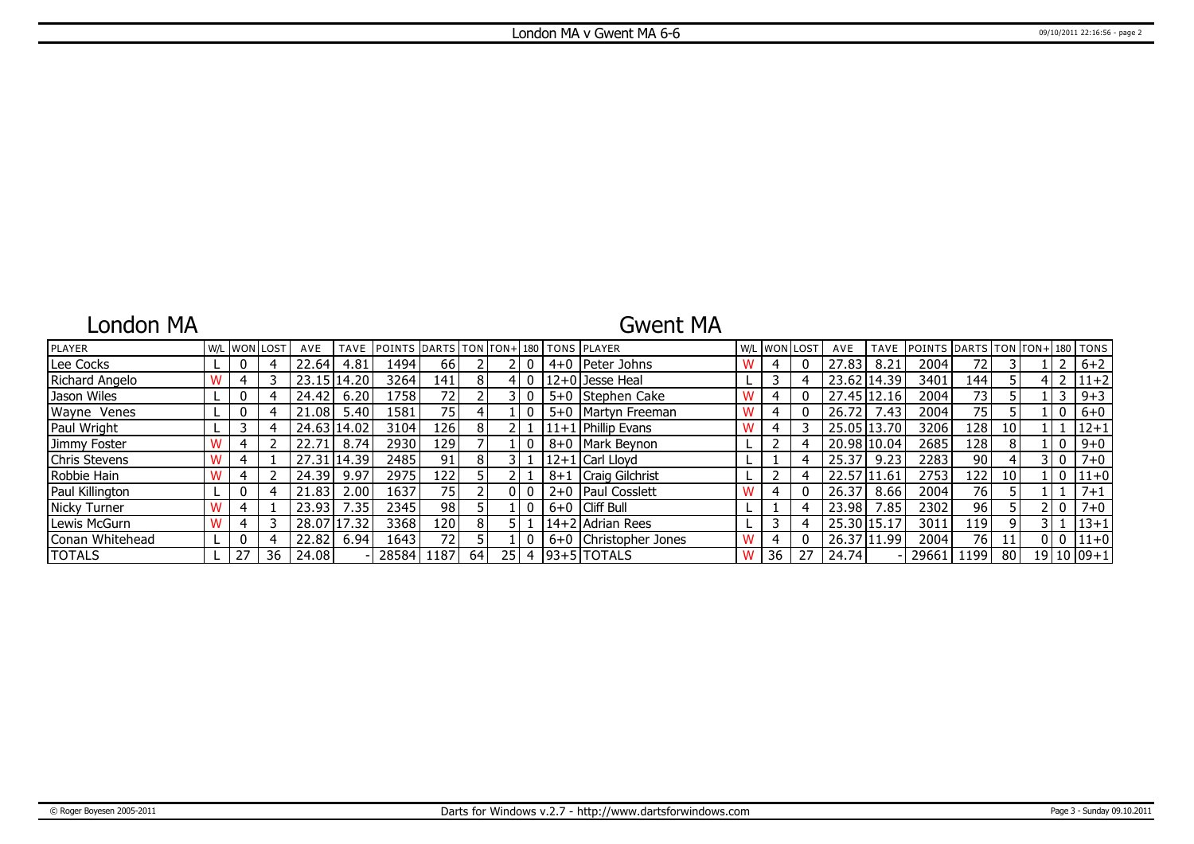## London MA

### Gwent MA

| <b>PLAYER</b>   |   | <b>W/L WON LOST</b> | AVE         | <b>TAVE</b> | POINTS DARTS TON FON+ 180 TONS PLAYER |                  |               |                 |  |                        |   |    | W/L WON LOST | AVE         |      | TAVE POINTS DARTS TON FON+1180 TONS |                 |                 |                |                |
|-----------------|---|---------------------|-------------|-------------|---------------------------------------|------------------|---------------|-----------------|--|------------------------|---|----|--------------|-------------|------|-------------------------------------|-----------------|-----------------|----------------|----------------|
| Lee Cocks       |   |                     | 22.64       | 4.81        | 1494                                  | 66               |               |                 |  | 4+0   Peter Johns      | W | 4  |              | 27.83       | 8.21 | 2004                                | 72              |                 |                | $6 + 2$        |
| Richard Angelo  |   |                     |             | 23.15 14.20 | 3264                                  | 141 I            | 8             |                 |  | 12+0 Jesse Heal        |   |    |              | 23.62 14.39 |      | 3401                                | 144             |                 |                | $4$   2   11+2 |
| Jason Wiles     | U |                     | 24.42       | 6.20        | 1758                                  | 721              |               |                 |  | 5+0 Stephen Cake       |   | 4  |              | 27.45 12.16 |      | 2004                                | 73 <sub>1</sub> |                 |                | $9 + 3$        |
| Wayne Venes     |   |                     | 21.08       | 5.40        | 1581                                  | 75               |               |                 |  | 5+0   Martyn Freeman   |   |    |              | 26.72       | 7.43 | 2004                                | 75              |                 | 0              | $6+0$          |
| Paul Wright     |   |                     | 24.63 14.02 |             | 3104                                  | 126              | 8             |                 |  | $ 11+1 $ Phillip Evans |   |    |              | 25.05 13.70 |      | 3206                                | 128             | 10 <sup>1</sup> |                | $ 12+1$        |
| Jimmy Foster    |   |                     | 22.71       | 8.74        | 2930                                  | 129              |               |                 |  | 8+0   Mark Beynon      |   |    |              | 20.98 10.04 |      | 2685                                | 128             | 8               | 0              | $9 + 0$        |
| Chris Stevens   |   |                     | 27.31       | 14.39       | 2485                                  | 91 <sub>1</sub>  | 8             |                 |  | $ 12+1 $ Carl Lloyd    |   |    |              | 25.37       | 9.23 | 2283                                | 90              |                 | 3 I O          | $7 + 0$        |
| Robbie Hain     |   |                     | 24.39       | 9.97        | 2975                                  | 122              |               |                 |  | 8+1   Craig Gilchrist  |   |    |              | 22.57 11.61 |      | 2753                                | 122             | 10 <sup>1</sup> | $\overline{0}$ | $111+0$        |
| Paul Killington | U |                     | 21.83       | 2.00        | 1637                                  | 75 I             |               |                 |  | 2+0   Paul Cosslett    |   | 4  |              | 26.37       | 8.66 | 2004                                | 76              |                 |                | $7 + 1$        |
| Nicky Turner    |   |                     | 23.93       | : 35        | 2345                                  | 98               |               |                 |  | 6+0 Cliff Bull         |   |    |              | 23.98       | '.85 | 2302                                | 96              |                 | - 0            | $7 + 0$        |
| Lewis McGurn    |   |                     | 28.07       | 17.32       | 3368                                  | 120 <sub>l</sub> |               |                 |  | 14+2 Adrian Rees       |   |    |              | 25.30 15.17 |      | 3011                                | 119             | $\mathsf{Q}$    |                | $ 13+1$        |
| Conan Whitehead |   |                     | 22.82       | 6.94        | 1643                                  | 72 l             |               |                 |  | 6+0 Christopher Jones  |   |    |              | 26.37 11.99 |      | 2004                                | 76              |                 | 0   0          | $111+0$        |
| <b>ITOTALS</b>  |   | 36                  | 24.08       |             | 28584                                 | 1187             | <sup>64</sup> | 25 <sub>1</sub> |  | $4$  93+5 TOTALS       |   | 36 | 27           | 24.74       |      | 29661   1199                        |                 | 80              |                | $19 10 09+1$   |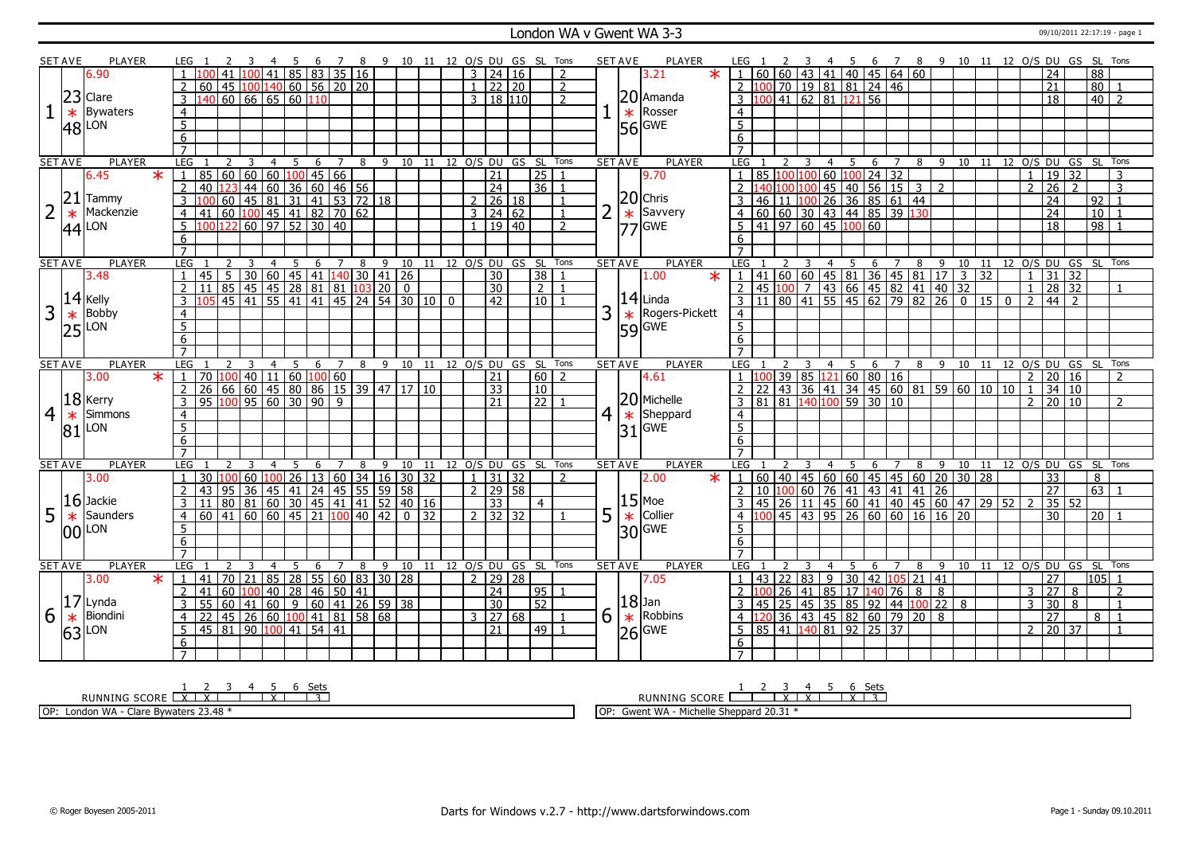#### London WA v Gwent WA 3-3 09/10/2011 22:17:19 - page 1

|                | <b>SET AVE</b> | <b>PLAYER</b>         | LEG 1            |                                                        |     |                |                |     |                                                |     |                |   |                                            |                                    |                |                 |                                 | 4 5 6 7 8 9 10 11 12 O/S DU GS SL Tons |                |   | <b>SET AVE</b> | PLAYER                | LEG 1                                        |                                                           |         |                | 2 3 4 5 6 7 8 9 10 11 12 O/S DU GS SL Tons               |   |                |   |                |         |                 |                |                 |                     |                                |                      |
|----------------|----------------|-----------------------|------------------|--------------------------------------------------------|-----|----------------|----------------|-----|------------------------------------------------|-----|----------------|---|--------------------------------------------|------------------------------------|----------------|-----------------|---------------------------------|----------------------------------------|----------------|---|----------------|-----------------------|----------------------------------------------|-----------------------------------------------------------|---------|----------------|----------------------------------------------------------|---|----------------|---|----------------|---------|-----------------|----------------|-----------------|---------------------|--------------------------------|----------------------|
|                |                | 6.90                  |                  |                                                        |     |                |                |     | 100 41 85 83 35 16                             |     |                |   |                                            |                                    |                |                 | $3 \mid 24 \mid 16$             |                                        | 2              |   |                | $\ast$<br>3.21        |                                              | 60                                                        |         |                | 60   43   41   40   45   64   60                         |   |                |   |                |         |                 |                | 24              |                     | 88                             |                      |
|                |                |                       |                  | $60$   45   100   140   60   56   20   20              |     |                |                |     |                                                |     |                |   |                                            |                                    |                |                 | $1 \overline{22} \overline{20}$ |                                        | $\mathcal{P}$  |   |                |                       | 2 100 70 19 81 81 24 46                      |                                                           |         |                |                                                          |   |                |   |                |         |                 |                | 21              |                     | 80                             |                      |
|                |                | $23$ Clare            | $\overline{3}$   | 140 60 66 65 60 110                                    |     |                |                |     |                                                |     |                |   |                                            |                                    |                |                 | 3   18   110                    |                                        | $\mathcal{P}$  |   |                | $ 20 $ Amanda         | $3\sqrt{1}$                                  |                                                           |         |                | $\frac{1}{2}$ 41 62 81 121 56                            |   |                |   |                |         |                 |                | $\overline{18}$ |                     |                                | $40$   2             |
|                |                |                       |                  |                                                        |     |                |                |     |                                                |     |                |   |                                            |                                    |                |                 |                                 |                                        |                |   |                |                       |                                              |                                                           |         |                |                                                          |   |                |   |                |         |                 |                |                 |                     |                                |                      |
| $\mathbf{1}$   | $\ast$         | <b>Bywaters</b>       | $\overline{4}$   |                                                        |     |                |                |     |                                                |     |                |   |                                            |                                    |                |                 |                                 |                                        |                |   |                | $\star$ Rosser        | $\overline{4}$                               |                                                           |         |                |                                                          |   |                |   |                |         |                 |                |                 |                     |                                |                      |
|                |                | $ 48 $ <sub>LON</sub> | $\overline{5}$   |                                                        |     |                |                |     |                                                |     |                |   |                                            |                                    |                |                 |                                 |                                        |                |   |                | $56$ GWE              | $\overline{5}$                               |                                                           |         |                |                                                          |   |                |   |                |         |                 |                |                 |                     |                                |                      |
|                |                |                       | 6                |                                                        |     |                |                |     |                                                |     |                |   |                                            |                                    |                |                 |                                 |                                        |                |   |                |                       | 6                                            |                                                           |         |                |                                                          |   |                |   |                |         |                 |                |                 |                     |                                |                      |
|                |                |                       | $\overline{7}$   |                                                        |     |                |                |     |                                                |     |                |   |                                            |                                    |                |                 |                                 |                                        |                |   |                |                       | $\overline{7}$                               |                                                           |         |                |                                                          |   |                |   |                |         |                 |                |                 |                     |                                |                      |
|                | <b>SET AVE</b> | <b>PLAYER</b>         | LEG              |                                                        | 2   | 3              | 4              | - 5 |                                                | 6 7 |                |   |                                            |                                    |                |                 |                                 | 8 9 10 11 12 O/S DU GS SL Tons         |                |   | <b>SET AVE</b> | PLAYER                | LEG                                          | 2                                                         | - 3     | 4              | 5                                                        | 6 | $\overline{7}$ |   |                |         |                 |                |                 |                     | 8 9 10 11 12 O/S DU GS SL Tons |                      |
|                |                | $\star$<br>6.45       | $\overline{1}$   | 85   60   60   60   100   45   66                      |     |                |                |     |                                                |     |                |   |                                            |                                    |                | $\overline{21}$ |                                 | $\overline{25}$                        |                |   |                | 9.70                  |                                              | 85                                                        | 100 100 |                | $60$ 100 24 32                                           |   |                |   |                |         |                 | $\mathbf{1}$   | 19              | 32                  |                                | 3                    |
|                |                |                       | $\overline{2}$   | 40 123 44 60 36 60 46 56                               |     |                |                |     |                                                |     |                |   |                                            |                                    |                | $\overline{24}$ |                                 | 36 1                                   |                |   |                |                       | $\overline{2}$ 140 100 100                   |                                                           |         |                |                                                          |   |                |   | 2              |         |                 | $\overline{2}$ | $\overline{26}$ | $\overline{2}$      |                                | $\overline{3}$       |
|                | 21             | Tammy                 | $\overline{3}$   | l OO I                                                 |     |                |                |     | $60$   45   81   31   41   53   72   18        |     |                |   |                                            |                                    |                |                 | 26 18                           |                                        |                |   |                | $20$ Chris            |                                              | 46<br>l 11                                                | 10C     |                | 45 40 56 15 3                                            |   |                |   |                |         |                 |                | $\overline{24}$ |                     | 92                             |                      |
| $\overline{2}$ | $\ast$         | Mackenzie             |                  | 41 60 100 45 41 82 70 62                               |     |                |                |     |                                                |     |                |   |                                            |                                    | $\overline{3}$ |                 | $\sqrt{24/62}$                  |                                        | $\mathbf{1}$   |   |                | $\star$ Savvery       |                                              | 60 60 30 43 44 85 39 130                                  |         |                |                                                          |   |                |   |                |         |                 |                | $\overline{24}$ |                     | $\overline{10}$                |                      |
|                | 44             | LON                   | 5 <sup>5</sup>   | $100\overline{122}$ 60 97 52 30 40                     |     |                |                |     |                                                |     |                |   |                                            |                                    |                |                 | 1   19   40                     |                                        | $\mathcal{P}$  |   |                | $ 77 $ GWE            | $5^{\circ}$                                  | $\frac{1}{41}$ 97 60 45 100 60                            |         |                |                                                          |   |                |   |                |         |                 |                | $\overline{18}$ |                     | 98                             | $\overline{1}$       |
|                |                |                       | 6                |                                                        |     |                |                |     |                                                |     |                |   |                                            |                                    |                |                 |                                 |                                        |                |   |                |                       | 6                                            |                                                           |         |                |                                                          |   |                |   |                |         |                 |                |                 |                     |                                |                      |
|                |                |                       | $\overline{7}$   |                                                        |     |                |                |     |                                                |     |                |   |                                            |                                    |                |                 |                                 |                                        |                |   |                |                       |                                              |                                                           |         |                |                                                          |   |                |   |                |         |                 |                |                 |                     |                                |                      |
|                | <b>SET AVE</b> | <b>PLAYER</b>         | LEG              |                                                        |     | $\overline{3}$ | $\overline{4}$ |     |                                                |     |                |   |                                            |                                    |                |                 |                                 | 5 6 7 8 9 10 11 12 O/S DU GS SL Tons   |                |   | <b>SET AVE</b> | <b>PLAYER</b>         | LEG                                          |                                                           | 3       | $\overline{4}$ | $5\quad 6\quad 7$                                        |   |                | 8 | $\overline{9}$ | $10$ 11 |                 |                |                 |                     |                                | 12 O/S DU GS SL Tons |
|                |                | 3.48                  |                  | $45$   5   30   60   45   41   140   30   41   26      |     |                |                |     |                                                |     |                |   |                                            |                                    |                | 30              |                                 | 38                                     |                |   |                | $\ast$<br>1.00        |                                              |                                                           |         |                |                                                          |   |                |   |                |         |                 | $\blacksquare$ | 31              | 32                  |                                |                      |
|                |                |                       | 2                | 11 <sup>1</sup>                                        |     |                |                |     |                                                |     |                |   | 85 45 45 28 81 81 103 20 0                 |                                    |                | $\overline{30}$ |                                 | $\overline{2}$                         | $\mathbf{1}$   |   |                |                       |                                              |                                                           |         |                |                                                          |   |                |   |                |         |                 | $\overline{1}$ | $\overline{28}$ | 32                  |                                | $\overline{1}$       |
|                |                | $14$ Kelly            | $\mathcal{E}$    |                                                        |     |                |                |     |                                                |     |                |   |                                            | 05 45 41 55 41 41 45 24 54 30 10 0 |                | $\overline{42}$ |                                 | 10                                     |                |   |                | $ 14 $ Linda          |                                              |                                                           |         |                |                                                          |   |                |   |                |         |                 | $\overline{2}$ |                 | $44 \mid 2$         |                                |                      |
| 3              |                | <b>Bobby</b>          |                  |                                                        |     |                |                |     |                                                |     |                |   |                                            |                                    |                |                 |                                 |                                        |                | 3 |                |                       |                                              |                                                           |         |                |                                                          |   |                |   |                |         |                 |                |                 |                     |                                |                      |
|                | $\ast$         |                       | $\overline{4}$   |                                                        |     |                |                |     |                                                |     |                |   |                                            |                                    |                |                 |                                 |                                        |                |   | $\ast$         | Rogers-Pickett        | $\overline{4}$                               |                                                           |         |                |                                                          |   |                |   |                |         |                 |                |                 |                     |                                |                      |
|                | 25             | LON                   | $\overline{5}$   |                                                        |     |                |                |     |                                                |     |                |   |                                            |                                    |                |                 |                                 |                                        |                |   |                | $ 59 $ GWE            | $\overline{5}$                               |                                                           |         |                |                                                          |   |                |   |                |         |                 |                |                 |                     |                                |                      |
|                |                |                       | 6                |                                                        |     |                |                |     |                                                |     |                |   |                                            |                                    |                |                 |                                 |                                        |                |   |                |                       | 6                                            |                                                           |         |                |                                                          |   |                |   |                |         |                 |                |                 |                     |                                |                      |
|                |                |                       | $\overline{7}$   |                                                        |     |                | $\overline{4}$ |     |                                                |     |                |   |                                            |                                    |                |                 |                                 |                                        |                |   | <b>SET AVE</b> |                       |                                              |                                                           |         |                | 4 5 6 7 8 9 10 11 12 O/S DU GS SL Tons                   |   |                |   |                |         |                 |                |                 |                     |                                |                      |
|                |                |                       |                  |                                                        |     |                |                |     |                                                |     |                |   |                                            |                                    |                |                 |                                 |                                        |                |   |                |                       | LEG <sub>1</sub>                             |                                                           |         |                |                                                          |   |                |   |                |         |                 |                |                 |                     |                                |                      |
|                | <b>SET AVE</b> | <b>PLAYER</b>         | <b>LEG</b>       |                                                        |     |                |                | 5   | 6                                              |     |                |   |                                            |                                    |                |                 |                                 | 7 8 9 10 11 12 0/S DU GS SL Tons       |                |   |                | <b>PLAYER</b>         |                                              |                                                           |         |                |                                                          |   |                |   |                |         |                 |                |                 |                     |                                |                      |
|                |                | $\star$<br>3.00       | $\overline{1}$   | 70 100 40 11 60 100 60                                 |     |                |                |     |                                                |     |                |   |                                            |                                    |                | 21              |                                 | $\boxed{60}$                           | $\overline{2}$ |   |                | 4.61                  |                                              |                                                           |         |                |                                                          |   |                |   |                |         |                 |                |                 | $2 \mid 20 \mid 16$ |                                | $\overline{2}$       |
|                |                |                       | $\overline{2}$   | 26 66 60 45 80 86 15 39 47 17 10                       |     |                |                |     |                                                |     |                |   |                                            |                                    |                | 33              |                                 | 10                                     |                |   |                |                       | 22                                           |                                                           |         |                | 139 85 121 60 80 16<br>143 36 41 34 45 60 81 59 60 10 10 |   |                |   |                |         |                 | $\overline{1}$ |                 | 34 10               |                                |                      |
|                |                | $18$ Kerry            | $\mathbf{3}$     | $95 \mid 100 \mid 95 \mid 60 \mid 30 \mid 90 \mid 9$   |     |                |                |     |                                                |     |                |   |                                            |                                    |                | 21              |                                 | $\overline{22}$                        |                |   |                | 20 Michelle           | 3<br>81                                      |                                                           |         |                | 81 140 100 59 30 10                                      |   |                |   |                |         |                 | 2 <sup>1</sup> |                 | 20 10               |                                | $\overline{2}$       |
| 4              | $\ast$         | Simmons               | $\overline{4}$   |                                                        |     |                |                |     |                                                |     |                |   |                                            |                                    |                |                 |                                 |                                        |                |   |                | $4 \times$ Sheppard   | $\overline{4}$                               |                                                           |         |                |                                                          |   |                |   |                |         |                 |                |                 |                     |                                |                      |
|                |                |                       | 5 <sup>7</sup>   |                                                        |     |                |                |     |                                                |     |                |   |                                            |                                    |                |                 |                                 |                                        |                |   |                |                       | $\overline{5}$                               |                                                           |         |                |                                                          |   |                |   |                |         |                 |                |                 |                     |                                |                      |
|                |                | $81$ <sup>LON</sup>   | $6 \overline{6}$ |                                                        |     |                |                |     |                                                |     |                |   |                                            |                                    |                |                 |                                 |                                        |                |   |                | $ 31 $ GWE            | 6                                            |                                                           |         |                |                                                          |   |                |   |                |         |                 |                |                 |                     |                                |                      |
|                |                |                       | $\overline{7}$   |                                                        |     |                |                |     |                                                |     |                |   |                                            |                                    |                |                 |                                 |                                        |                |   |                |                       | $\overline{7}$                               |                                                           |         |                |                                                          |   |                |   |                |         |                 |                |                 |                     |                                |                      |
|                | <b>SET AVE</b> | <b>PLAYER</b>         | <b>LEG</b>       |                                                        |     |                | $\overline{4}$ | 5   | 6                                              |     | 7              | 8 |                                            |                                    |                |                 |                                 | 9 10 11 12 O/S DU GS SL Tons           |                |   | <b>SET AVE</b> | PLAYER                | LEG                                          |                                                           |         | $\overline{4}$ | -5                                                       | 6 | $\overline{7}$ | 8 | $\overline{9}$ |         |                 |                |                 |                     | 10 11 12 0/S DU GS SL          | Tons                 |
|                |                | 3.00                  | 1                | 30 <sup>°</sup>                                        | 100 |                |                |     |                                                |     |                |   |                                            |                                    |                |                 | $1 \mid 31 \mid 32$             |                                        | 2              |   |                | 2.00<br>$\star$       | 1 60 40                                      |                                                           |         |                |                                                          |   |                |   | 20             | 30      | $\overline{28}$ |                | 33              |                     | 8                              |                      |
|                |                |                       | 2 <sup>1</sup>   | 43 95 36 45 41 24 45 55 59 58                          |     |                |                |     |                                                |     |                |   |                                            |                                    |                |                 | $\overline{2}$   29   58        |                                        |                |   |                |                       |                                              |                                                           |         |                | 45 60 60 45 45 60                                        |   |                |   | 26             |         |                 |                | $\overline{27}$ |                     |                                | $63$ 1               |
|                |                | $16$ Jackie           | $\overline{3}$   |                                                        |     |                |                |     |                                                |     |                |   |                                            |                                    |                |                 |                                 | $\overline{4}$                         |                |   |                | $15$ Moe              | 2 10 100 60 76 41 43 41 41<br>$\overline{3}$ |                                                           |         |                |                                                          |   |                |   |                |         |                 | $\overline{2}$ |                 | 52                  |                                |                      |
|                |                | Saunders              | $\overline{4}$   | 11 80 81 60 30 45 41 41 52 40 16                       |     |                |                |     |                                                |     |                |   |                                            |                                    |                | 33              | $2 \mid 32 \mid 32 \mid$        |                                        |                |   |                |                       | $\overline{4}$                               | 45 26 11 45 60 41 40 45 60 47 29 52                       |         |                |                                                          |   |                |   |                |         |                 |                | $\overline{30}$ | 35                  |                                | $20$   1             |
| 5              | $\ast$         |                       |                  | $60$   41   60   60   45   21   100   40   42   0   32 |     |                |                |     |                                                |     |                |   |                                            |                                    |                |                 |                                 |                                        |                | 5 | $\ast$         | Collier               |                                              | $\boxed{100}$ 45 43 95 26 60 60 16 16 20                  |         |                |                                                          |   |                |   |                |         |                 |                |                 |                     |                                |                      |
|                |                | 00 LON                | 5                |                                                        |     |                |                |     |                                                |     |                |   |                                            |                                    |                |                 |                                 |                                        |                |   |                | $ 30 $ <sub>GME</sub> | 5                                            |                                                           |         |                |                                                          |   |                |   |                |         |                 |                |                 |                     |                                |                      |
|                |                |                       | 6                |                                                        |     |                |                |     |                                                |     |                |   |                                            |                                    |                |                 |                                 |                                        |                |   |                |                       | 6                                            |                                                           |         |                |                                                          |   |                |   |                |         |                 |                |                 |                     |                                |                      |
|                |                |                       | $\overline{7}$   |                                                        |     |                |                |     |                                                |     |                |   |                                            |                                    |                |                 |                                 |                                        |                |   |                |                       |                                              |                                                           |         |                |                                                          |   |                |   |                |         |                 |                |                 |                     |                                |                      |
|                | <b>SET AVE</b> | PLAYER                | LEG              |                                                        |     |                |                | 5   | 6                                              |     | $\overline{7}$ | 8 |                                            |                                    |                |                 |                                 | 9 10 11 12 0/S DU GS SL Tons           |                |   | <b>SET AVE</b> | PLAYER                | LEG                                          |                                                           |         | 4              | 5                                                        | 6 | $\overline{7}$ | 8 | -9             | 10 11   |                 |                |                 |                     |                                | 12 O/S DU GS SL Tons |
|                |                | $\star$<br>3.00       | 1                | 41 l                                                   |     |                |                |     |                                                |     |                |   | 70   21   85   28   55   60   83   30   28 |                                    |                |                 | $2$   29   28                   |                                        |                |   |                | 7.05                  |                                              | 43   22                                                   |         |                | 83 9 30 42 105 21 41                                     |   |                |   |                |         |                 |                | $\overline{27}$ |                     |                                | $105$ 1              |
|                |                |                       | 2 <sup>1</sup>   |                                                        |     |                |                |     |                                                |     |                |   |                                            |                                    |                | $\overline{24}$ |                                 | $95 \mid$                              | $\overline{1}$ |   |                |                       | $\overline{2}$                               |                                                           |         |                |                                                          |   |                |   |                |         |                 | $\overline{3}$ | 27              | $\overline{8}$      |                                | $\mathcal{P}$        |
|                | 17             | 'Lynda                | $\overline{3}$   | 41 60 100 40 28 46 50 41                               |     |                |                |     |                                                |     |                |   |                                            |                                    |                | 30              |                                 | 52                                     |                |   |                | $ 18 $ Jan            | $\overline{3}$                               | 100 26 41 85 17 140 76 8 8<br>45 25 45 35 85 92 44 100 22 |         |                |                                                          |   |                |   |                | 8       |                 | $\mathcal{E}$  | 30              | $\overline{8}$      |                                | $\overline{1}$       |
| 6              | $\ast$         | Biondini              | $\overline{4}$   | $\overline{22}$                                        |     |                |                |     | $\vert$ 45   26   60   100   41   81   58   68 |     |                |   |                                            |                                    | $\overline{3}$ |                 | 27 68                           |                                        | $\mathbf{1}$   | 6 | $\ast$         | Robbins               | $4\overline{120}$                            |                                                           |         |                | 36 43 45 82 60 79 20                                     |   |                |   | 8              |         |                 |                | 27              |                     | 8                              | $\overline{1}$       |
|                | 63             | LON                   | 5 <sup>1</sup>   | 45 81 90 100 41 54 41                                  |     |                |                |     |                                                |     |                |   |                                            |                                    |                | $\overline{21}$ |                                 | 49   1                                 |                |   |                |                       |                                              | 5 85 41 140 81 92 25 37                                   |         |                |                                                          |   |                |   |                |         |                 |                |                 | $2 \mid 20 \mid 37$ |                                | $\overline{1}$       |
|                |                |                       | 6                |                                                        |     |                |                |     |                                                |     |                |   |                                            |                                    |                |                 |                                 |                                        |                |   |                | $ 26 $ GWE            | 6                                            |                                                           |         |                |                                                          |   |                |   |                |         |                 |                |                 |                     |                                |                      |

RUNNING SCORE 1 X 2 X 3 4 5 X 6 Sets 3 OP: London WA - Clare Bywaters 23.48 \*

RUNNING SCORE 1 2 3 X 4 X 5 6 X Sets 3 OP: Gwent WA - Michelle Sheppard 20.31 \*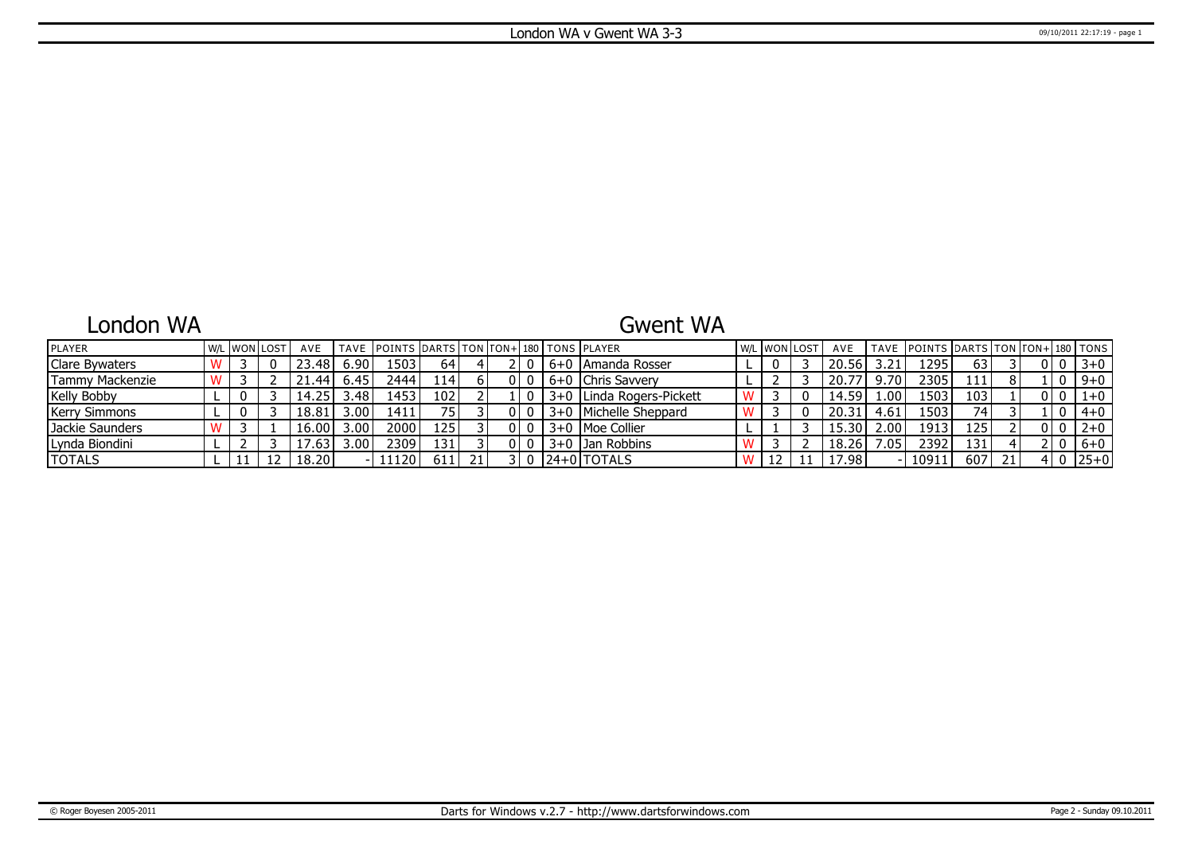## London WA

### Gwent WA

| <b>PLAYER</b>         |  | <b>W/L WON LOST</b> | AVE              |                | TAVE POINTS DARTS TON TON+ 180 TONS PLAYER |                  |  |  |                          | W/L WON LOST | AVE   |      | TAVE POINTS DARTS TON TON+ 180 TONS |      |    |   |          |
|-----------------------|--|---------------------|------------------|----------------|--------------------------------------------|------------------|--|--|--------------------------|--------------|-------|------|-------------------------------------|------|----|---|----------|
| <b>Clare Bywaters</b> |  |                     | 23.48            | 6.90           | .503                                       | 64               |  |  | 6+0   Amanda Rosser      |              | 20.56 |      | 1295                                | 63   |    |   | $3 + 0$  |
| Tammy Mackenzie       |  |                     | 21.44            | 6.45           | 2444                                       | 114'             |  |  | 16+0   Chris Savvery     |              | 20.77 | 9.70 | 2305                                | 111  | 8  | 0 | $9 + 0$  |
| <b>Kelly Bobby</b>    |  |                     | 14.25            | $3.48^{\circ}$ | 1453                                       | 102              |  |  | 3+0 Linda Rogers-Pickett |              | 14.59 | .00. | 1503                                | 103  |    |   | $1 + 0$  |
| <b>Kerry Simmons</b>  |  |                     | 18.81            | 3.00'          | 1411                                       | 75 I             |  |  | 3+0 Michelle Sheppard    |              | 20.31 | 4.61 | 1503                                | 74   |    |   | $4 + 0$  |
| l Jackie Saunders     |  |                     | 16.00            | 3.00           | 2000                                       | 125 l            |  |  | 3+0 IMoe Collier         |              | 15.30 | 2.00 | 1913                                | 125' |    |   | $2+0$    |
| Lynda Biondini        |  |                     | .63 <sup>1</sup> | 3.00           | 2309                                       | 131 <sup>1</sup> |  |  | 3+0 Jan Robbins          |              | 18.26 | .05  | 2392                                | 131' |    |   | $6+0$    |
| <b>TOTALS</b>         |  |                     | 18.20            |                | 11120                                      | 611 I            |  |  | l24+0lTOTALS             |              | 17.98 |      | 10911                               | 607  | 21 | 0 | $ 25+0 $ |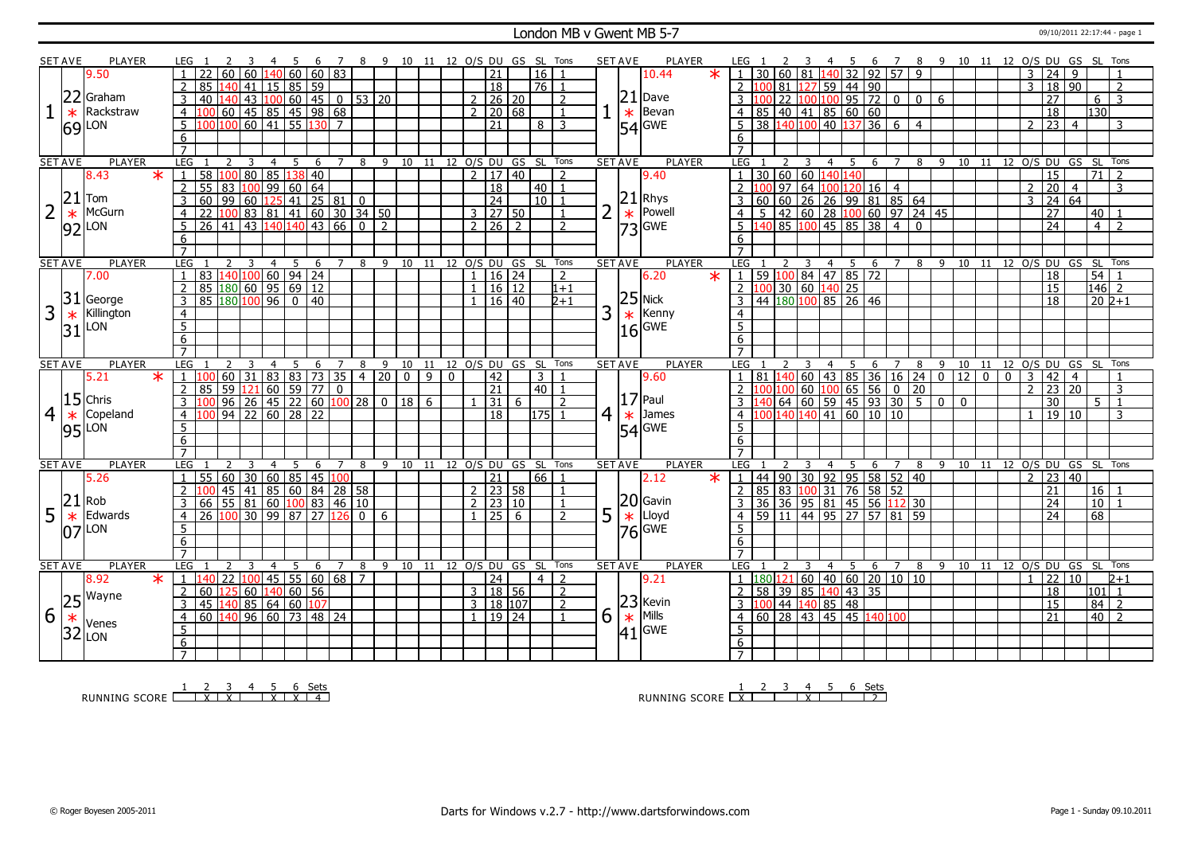### London MB v Gwent MB 5-7 09/10/2011 22:17:44 - page 1

|                | <b>SET AVE</b> | <b>PLAYER</b>       |                         | LEG              |                                                         |                 |                                                                              |                |                  | - 6             | $\overline{7}$  |                       |                 |                | 8 9 10 11 12 O/S DU GS SL Tons |          |                |                     |                      |                |                | SET AVE        |                | PLAYER                                                           |                         |                                               |   |                | - 5             |                                                                                           |                |                |    | 6 7 8 9 10 11 12 0/S DU GS SL Tons |                |                |                |                 |                                   |                 |                                  |  |
|----------------|----------------|---------------------|-------------------------|------------------|---------------------------------------------------------|-----------------|------------------------------------------------------------------------------|----------------|------------------|-----------------|-----------------|-----------------------|-----------------|----------------|--------------------------------|----------|----------------|---------------------|----------------------|----------------|----------------|----------------|----------------|------------------------------------------------------------------|-------------------------|-----------------------------------------------|---|----------------|-----------------|-------------------------------------------------------------------------------------------|----------------|----------------|----|------------------------------------|----------------|----------------|----------------|-----------------|-----------------------------------|-----------------|----------------------------------|--|
|                |                | 9.50                |                         |                  |                                                         | 60              | 60                                                                           |                | 140 60           |                 | 60 83           |                       |                 |                |                                |          |                | 21                  |                      | 16             |                |                |                | $\ast$<br>10.44                                                  | $1 \quad$               |                                               |   |                |                 | 30   60   81   140   32   92   57   9                                                     |                |                |    |                                    |                |                | 3              | $\overline{24}$ | 9                                 |                 |                                  |  |
|                |                |                     |                         | 2                | 85 140                                                  |                 | 41                                                                           |                |                  | 15 85 59        |                 |                       |                 |                |                                |          |                | $\overline{18}$     |                      | $76$   1       |                |                |                |                                                                  | $2 \, 100$              |                                               |   |                | 81 127 59 44 90 |                                                                                           |                |                |    |                                    |                |                | $\overline{3}$ |                 | 18 90                             |                 | 2                                |  |
|                | 22             | Graham              |                         | $\overline{3}$   | 40                                                      |                 |                                                                              |                |                  |                 |                 |                       |                 |                |                                |          |                | 2   26   20         |                      |                | $\overline{2}$ |                | 21             | Dave                                                             |                         |                                               |   |                |                 | 22 100 100 95 72 0                                                                        |                |                |    |                                    |                |                |                | $\overline{27}$ |                                   |                 | $\overline{3}$                   |  |
|                |                | Rackstraw           |                         |                  |                                                         |                 | $43\vert100\vert60\vert45\vert0\vert53\vert20$                               |                |                  |                 |                 |                       |                 |                |                                |          |                |                     |                      |                |                |                |                |                                                                  |                         |                                               |   |                |                 |                                                                                           |                | $\mathbf 0$    | 6  |                                    |                |                |                |                 |                                   |                 | 6                                |  |
|                | $\ast$         |                     |                         | $\overline{4}$   | 100 60 45 85 45 98 68<br>100 100 60 41 55 130 7         |                 |                                                                              |                |                  |                 |                 |                       |                 |                |                                |          | $\overline{2}$ |                     | 20 68                |                |                |                |                | $\begin{bmatrix} -\ast \\ \ast \\ 54 \end{bmatrix}$ GWE<br>Bevan |                         | 85 40 41 85 60 60                             |   |                |                 |                                                                                           |                |                |    |                                    |                |                |                | 18              |                                   |                 | 130                              |  |
|                |                | $69$ $\mu$ on       |                         | 5                |                                                         |                 |                                                                              |                |                  |                 |                 |                       |                 |                |                                |          |                | 21                  |                      | 8 I            | 3              |                |                |                                                                  | 5                       | 38 140 100 40 137                             |   |                |                 | $36 \overline{6}$                                                                         |                | $\overline{4}$ |    |                                    |                |                | 2              |                 | $\overline{23}$ 4                 |                 | 3                                |  |
|                |                |                     |                         | 6                |                                                         |                 |                                                                              |                |                  |                 |                 |                       |                 |                |                                |          |                |                     |                      |                |                |                |                |                                                                  | 6                       |                                               |   |                |                 |                                                                                           |                |                |    |                                    |                |                |                |                 |                                   |                 |                                  |  |
|                |                |                     |                         |                  |                                                         |                 |                                                                              |                |                  |                 |                 |                       |                 |                |                                |          |                |                     |                      |                |                |                |                |                                                                  |                         |                                               |   |                |                 |                                                                                           |                |                |    |                                    |                |                |                |                 |                                   |                 |                                  |  |
|                | <b>SET AVE</b> | <b>PLAYER</b>       |                         | LEG              |                                                         | 2               | 3                                                                            | $\overline{4}$ | 5                | 6               | $\overline{7}$  | 8                     | 9               |                | 10 11                          |          |                | 12 0/S DU GS        |                      | SL Tons        |                | <b>SET AVE</b> |                | <b>PLAYER</b>                                                    | LEG                     |                                               |   | 4              | 5               | 6                                                                                         | $\overline{7}$ | 8              |    | 9 10 11 12 O/S DU GS SL Tons       |                |                |                |                 |                                   |                 |                                  |  |
|                |                | 8.43                | $\overline{\ast}$       | $\mathbf{1}$     | 58 <mark>  100   80   85</mark><br>  55   83   100   99 |                 |                                                                              |                | $\overline{138}$ | 40              |                 |                       |                 |                |                                |          | $\overline{2}$ | 17 40               |                      |                | $\overline{2}$ |                |                | 9.40                                                             |                         | 30   60   60   1                              |   | 401            | 40              |                                                                                           |                |                |    |                                    |                |                |                |                 | 15                                | $\overline{71}$ |                                  |  |
|                |                |                     |                         | $\overline{2}$   |                                                         |                 |                                                                              |                | 60               | 64              |                 |                       |                 |                |                                |          |                | $\overline{18}$     |                      | 40             | $\overline{1}$ |                |                |                                                                  | $\overline{2}$          |                                               |   |                |                 | $100$ 97 64 100 120 16 4                                                                  |                |                |    |                                    |                |                | $\overline{2}$ |                 | $\overline{20}$<br>$\overline{4}$ |                 | 3                                |  |
|                | 21             | Tom                 |                         | 3                | 60                                                      |                 |                                                                              |                |                  |                 |                 |                       |                 |                |                                |          |                | $\overline{24}$     |                      | $10$ $1$       |                |                |                |                                                                  | 3                       |                                               |   |                |                 | 60   60   26   26   99   81   85   64                                                     |                |                |    |                                    |                |                | 3              |                 | 24   64                           |                 |                                  |  |
|                | $\ast$         | McGurn              |                         | $\overline{4}$   | 22                                                      |                 | 99   60   125   41   25   81   0<br>  100   83   81   41   60   30   34   50 |                |                  |                 |                 |                       |                 |                |                                |          |                | $3$   27   50       |                      |                | $\mathbf{1}$   | $\overline{2}$ |                | $\left \frac{21}{*}\right $ Rhys                                 | 4 <sup>1</sup>          |                                               |   |                |                 | $5   42   60   28   100   60   97   24   45$                                              |                |                |    |                                    |                |                |                | $\overline{27}$ |                                   | 40              |                                  |  |
|                | 92             | LON                 |                         | 5                | $\overline{26}$ 41 43 140 140 43 66                     |                 |                                                                              |                |                  |                 |                 | $\overline{\circ}$    | $\overline{2}$  |                |                                |          |                | $2 \mid 26 \mid 2$  |                      |                | $\overline{2}$ |                |                | $\frac{1}{73}$ Powel                                             |                         |                                               |   |                |                 | 5 140 85 100 45 85 38 40                                                                  |                |                |    |                                    |                |                |                | $\overline{24}$ |                                   |                 | $\overline{4}$<br>$\overline{2}$ |  |
|                |                |                     |                         | 6                |                                                         |                 |                                                                              |                |                  |                 |                 |                       |                 |                |                                |          |                |                     |                      |                |                |                |                |                                                                  | 6                       |                                               |   |                |                 |                                                                                           |                |                |    |                                    |                |                |                |                 |                                   |                 |                                  |  |
|                |                |                     |                         | $\overline{7}$   |                                                         |                 |                                                                              |                |                  |                 |                 |                       |                 |                |                                |          |                |                     |                      |                |                |                |                |                                                                  |                         |                                               |   |                |                 |                                                                                           |                |                |    |                                    |                |                |                |                 |                                   |                 |                                  |  |
|                | <b>SET AVE</b> | <b>PLAYER</b>       |                         | LEG 1            |                                                         |                 | $\mathbf{3}$                                                                 | $\overline{4}$ | $5^{\circ}$      | 6               | $\overline{7}$  | 8                     | - 9             | 10             | 11                             |          |                |                     | 12 O/S DU GS SL Tons |                |                | <b>SET AVE</b> |                | <b>PLAYER</b>                                                    | <b>LEG</b>              |                                               |   | $\overline{4}$ | $5^{\circ}$     | 6                                                                                         | $\overline{7}$ |                | 89 | 10 11 12 0/S DU GS SL Tons         |                |                |                |                 |                                   |                 |                                  |  |
|                |                | 7.00                |                         | $\overline{1}$   | 83   140   100   60   94   24                           |                 |                                                                              |                |                  |                 |                 |                       |                 |                |                                |          |                | 1   16   24         |                      |                | 2              |                |                | 6.20<br>$\ast$                                                   |                         |                                               |   |                |                 | $1 \mid 59 \mid 100 \mid 84 \mid 47 \mid 85 \mid 72$                                      |                |                |    |                                    |                |                |                | 18              |                                   |                 | 54                               |  |
|                |                |                     |                         | $\overline{2}$   | 85 180 60 95 69 12                                      |                 |                                                                              |                |                  |                 |                 |                       |                 |                |                                |          | $\mathbf{1}$   |                     | 16 12                |                | $1 + 1$        |                |                |                                                                  |                         | $2 \mid 100 \mid 30 \mid 60 \mid 140 \mid 25$ |   |                |                 |                                                                                           |                |                |    |                                    |                |                |                |                 | 15                                |                 | $\overline{146}$ 2               |  |
|                | 31             | George              |                         |                  | 85 180 100 96                                           |                 |                                                                              |                |                  |                 |                 |                       |                 |                |                                |          |                |                     | $16 \mid 40$         |                | $2+1$          |                |                |                                                                  |                         | 44 180 100 85 26 46                           |   |                |                 |                                                                                           |                |                |    |                                    |                |                |                |                 |                                   |                 | $20\overline{2}+1$               |  |
|                |                |                     |                         | 3                |                                                         |                 |                                                                              |                |                  | 0 40            |                 |                       |                 |                |                                |          |                |                     |                      |                |                |                |                | $25$ Nick<br>$*$ Kenn                                            |                         |                                               |   |                |                 |                                                                                           |                |                |    |                                    |                |                |                |                 | 18                                |                 |                                  |  |
| 3              | $\ast$         | Killington          |                         | $\overline{4}$   |                                                         |                 |                                                                              |                |                  |                 |                 |                       |                 |                |                                |          |                |                     |                      |                |                | 3              |                | Kenny                                                            | $\overline{4}$          |                                               |   |                |                 |                                                                                           |                |                |    |                                    |                |                |                |                 |                                   |                 |                                  |  |
|                | 31             | LON                 |                         | $\overline{5}$   |                                                         |                 |                                                                              |                |                  |                 |                 |                       |                 |                |                                |          |                |                     |                      |                |                |                | 16             | GWE                                                              | $\overline{5}$          |                                               |   |                |                 |                                                                                           |                |                |    |                                    |                |                |                |                 |                                   |                 |                                  |  |
|                |                |                     |                         | 6                |                                                         |                 |                                                                              |                |                  |                 |                 |                       |                 |                |                                |          |                |                     |                      |                |                |                |                |                                                                  | 6                       |                                               |   |                |                 |                                                                                           |                |                |    |                                    |                |                |                |                 |                                   |                 |                                  |  |
|                |                |                     |                         | $\overline{7}$   |                                                         |                 |                                                                              |                |                  |                 |                 |                       |                 |                |                                |          |                |                     |                      |                |                |                |                |                                                                  | $\overline{7}$          |                                               |   |                |                 |                                                                                           |                |                |    |                                    |                |                |                |                 |                                   |                 |                                  |  |
|                |                |                     |                         |                  |                                                         |                 |                                                                              |                |                  |                 |                 |                       |                 |                |                                |          |                |                     |                      |                |                |                |                |                                                                  |                         |                                               |   |                |                 |                                                                                           |                |                |    |                                    |                |                |                |                 |                                   |                 |                                  |  |
|                | <b>SET AVE</b> | <b>PLAYER</b>       |                         | <b>LEG</b>       |                                                         | 2               |                                                                              | 4              | 5                | 6               | 7               | 8                     | 9               | 10             | 11                             |          |                | 12 0/S DU           | GS SL                |                | Tons           |                | <b>SET AVE</b> | <b>PLAYER</b>                                                    | <b>LEG</b>              |                                               |   | 4              | 5               | 6                                                                                         | 7              | 8              | 9  | 10                                 | 11             |                |                |                 |                                   | 12 O/S DU GS SL | Tons                             |  |
|                |                | 5.21                | $\overline{\mathbf{x}}$ | $\overline{1}$   |                                                         | 60              | $\overline{31}$                                                              | 83             | 83               | $\overline{73}$ | $\overline{35}$ | $\overline{4}$        | $\overline{20}$ | $\overline{0}$ | $\overline{q}$                 | $\Omega$ |                | $\overline{42}$     |                      | $\overline{3}$ |                |                |                | 9.60                                                             | $\mathbf{1}$            |                                               |   |                |                 | 81 140 60 43 85 36 16 24 0                                                                |                |                |    | $\overline{12}$                    | $\overline{0}$ | $\overline{0}$ | $\overline{3}$ | 42              | $\overline{4}$                    |                 |                                  |  |
|                |                |                     |                         | $\overline{2}$   | 85                                                      |                 |                                                                              |                |                  |                 |                 |                       |                 |                |                                |          |                | $\overline{21}$     |                      | $40$   1       |                |                |                |                                                                  | $\mathcal{L}$           | 100                                           |   |                |                 | $100$ 60 $100$ 65 56 0 20                                                                 |                |                |    |                                    |                |                | $\overline{2}$ |                 | 23 20                             |                 | 3                                |  |
|                |                | $15$ Chris          |                         | 3                |                                                         |                 | 59 121 60 59 77 0<br>96 26 45 22 60 100 28                                   |                |                  |                 |                 |                       | $\overline{0}$  | 18             | 6                              |          |                | 31                  | 6                    |                | $\overline{2}$ |                |                | $17$ Paul                                                        | $\overline{3}$          |                                               |   |                |                 | $140$ 64 60 59 45 93 30 5 0 0                                                             |                |                |    |                                    |                |                |                | $\overline{30}$ |                                   |                 | 5 <sup>1</sup><br>$\overline{1}$ |  |
| $\overline{4}$ | $\ast$         | Copeland            |                         | $\overline{4}$   |                                                         |                 | $\frac{1}{94}$ 22 60 28 22                                                   |                |                  |                 |                 |                       |                 |                |                                |          |                | 18                  |                      | $175$ 1        |                | $\overline{4}$ | $\ast$         | James                                                            | $\overline{4}$          |                                               |   |                |                 | $\frac{100}{140}$ 140 $\frac{140}{41}$ 60 $\frac{10}{10}$ 10                              |                |                |    |                                    |                |                | $\overline{1}$ |                 | 19 10                             |                 | 3                                |  |
|                |                | LON                 |                         | $5\overline{)}$  |                                                         |                 |                                                                              |                |                  |                 |                 |                       |                 |                |                                |          |                |                     |                      |                |                |                |                |                                                                  | $5\overline{5}$         |                                               |   |                |                 |                                                                                           |                |                |    |                                    |                |                |                |                 |                                   |                 |                                  |  |
|                | 95             |                     |                         | $6\overline{6}$  |                                                         |                 |                                                                              |                |                  |                 |                 |                       |                 |                |                                |          |                |                     |                      |                |                |                |                | $54$ GWE                                                         | $6 \overline{}$         |                                               |   |                |                 |                                                                                           |                |                |    |                                    |                |                |                |                 |                                   |                 |                                  |  |
|                |                |                     |                         | $\overline{7}$   |                                                         |                 |                                                                              |                |                  |                 |                 |                       |                 |                |                                |          |                |                     |                      |                |                |                |                |                                                                  |                         |                                               |   |                |                 |                                                                                           |                |                |    |                                    |                |                |                |                 |                                   |                 |                                  |  |
|                | <b>SET AVE</b> | PLAYER              |                         | <b>LEG</b>       |                                                         | $\overline{z}$  | $\mathbf{R}$                                                                 | $\overline{4}$ | -5               | 6               | $\overline{7}$  | 8                     | 9               | 10             | - 11                           |          |                |                     | 12 O/S DU GS SL      |                | Tons           | <b>SET AVE</b> |                | <b>PLAYER</b>                                                    | LEG                     |                                               |   | 4              | 5               | 6                                                                                         | $\overline{7}$ | 8              |    | 9 10 11 12 O/S DU GS SL Tons       |                |                |                |                 |                                   |                 |                                  |  |
|                |                | 5.26                |                         | $\mathbf{1}$     | 55                                                      |                 |                                                                              |                |                  |                 |                 |                       |                 |                |                                |          |                | $\overline{21}$     |                      | 66             |                |                |                | 2.12<br>$\ast$                                                   | $\mathbf{1}$            |                                               |   |                |                 |                                                                                           |                |                |    |                                    |                |                | 2              |                 | 23 40                             |                 |                                  |  |
|                |                |                     |                         |                  |                                                         |                 | 60 30 60 85 45 100                                                           |                |                  |                 |                 |                       |                 |                |                                |          |                |                     |                      |                |                |                |                |                                                                  |                         |                                               |   |                |                 | 44   90   30   92   95   58   52   40                                                     |                |                |    |                                    |                |                |                |                 |                                   |                 |                                  |  |
|                |                |                     |                         |                  |                                                         | $45 \mid 41$    |                                                                              |                |                  |                 |                 | 85 60 84 28 58        |                 |                |                                |          |                | $2 \mid 23 \mid 58$ |                      |                |                |                |                |                                                                  |                         |                                               |   |                |                 | 2 85 83 100 31 76 58 52                                                                   |                |                |    |                                    |                |                |                | 21              |                                   |                 | 16                               |  |
|                | 21             | Rob                 |                         | 3                | 66 55 81 60 100 83 46 10                                |                 |                                                                              |                |                  |                 |                 |                       |                 |                |                                |          | $\mathbf{1}$   | $2 \mid 23 \mid 10$ |                      |                |                |                |                |                                                                  | $\overline{\mathbf{3}}$ |                                               |   |                |                 | 36 36 95 81 45 56 12 30                                                                   |                |                |    |                                    |                |                |                | 24              |                                   |                 | 10                               |  |
| 5              | $\ast$         | Edwards             |                         | $\overline{4}$   | 26                                                      |                 | 100 30 99 87                                                                 |                |                  | 27              | 126             | $\mathbf{0}$          | 6               |                |                                |          |                | $\overline{25}$     | -6                   |                | $\overline{2}$ | 5              |                | $20$ Gavin<br>$\ast$ Lloyd                                       | $\overline{4}$          |                                               |   |                |                 | 59 11 44 95 27 57 81 59                                                                   |                |                |    |                                    |                |                |                |                 | 24                                | 68              |                                  |  |
|                | IN 7           | LON                 |                         | 5                |                                                         |                 |                                                                              |                |                  |                 |                 |                       |                 |                |                                |          |                |                     |                      |                |                |                |                | $ 76 $ GWE                                                       | 5                       |                                               |   |                |                 |                                                                                           |                |                |    |                                    |                |                |                |                 |                                   |                 |                                  |  |
|                |                |                     |                         | 6                |                                                         |                 |                                                                              |                |                  |                 |                 |                       |                 |                |                                |          |                |                     |                      |                |                |                |                |                                                                  | 6                       |                                               |   |                |                 |                                                                                           |                |                |    |                                    |                |                |                |                 |                                   |                 |                                  |  |
|                |                |                     |                         | $\overline{7}$   |                                                         |                 |                                                                              |                |                  |                 |                 |                       |                 |                |                                |          |                |                     |                      |                |                |                |                |                                                                  | $\overline{7}$          |                                               |   |                |                 |                                                                                           |                |                |    |                                    |                |                |                |                 |                                   |                 |                                  |  |
|                | <b>SET AVE</b> | PLAYER              |                         | <b>LEG</b>       |                                                         | 2               | $\overline{3}$                                                               | $\overline{4}$ | 5                | 6               | $7\overline{ }$ | 8                     |                 | 9 10           | 11                             |          |                |                     | 12 O/S DU GS SL      |                | Tons           | <b>SET AVE</b> |                | <b>PLAYER</b>                                                    | LEG                     |                                               | 3 |                | 4 <sub>5</sub>  | 6                                                                                         |                |                |    | 7 8 9 10 11 12 0/S DU GS SL        |                |                |                |                 |                                   |                 | Tons                             |  |
|                |                | 8.92                | $\ast$                  | $\mathbf{1}$     | 140                                                     | $\overline{22}$ | 100                                                                          |                |                  |                 |                 | 45   55   60   68   7 |                 |                |                                |          |                | 24                  |                      | 4 <sup>1</sup> | 2              |                |                | 9.21                                                             |                         |                                               |   |                |                 | $1 \left  180 \right  121 \left  60 \right  40 \left  60 \right  20 \left  10 \right  10$ |                |                |    |                                    |                |                | $\overline{1}$ |                 | 22<br>$ 10\rangle$                |                 | $\sqrt{2+1}$                     |  |
|                |                |                     |                         | 2                | 60 125                                                  |                 | $60 \mid 140 \mid 60 \mid 56$                                                |                |                  |                 |                 |                       |                 |                |                                |          |                | 3   18   56         |                      |                | 2              |                |                |                                                                  | 2                       |                                               |   |                |                 | 58 39 85 140 43 35                                                                        |                |                |    |                                    |                |                |                |                 | 18                                |                 | 101<br>$\overline{1}$            |  |
|                | 25             | Wayne               |                         | 3                | 45 140 85 64 60 107                                     |                 |                                                                              |                |                  |                 |                 |                       |                 |                |                                |          |                | 3   18   107        |                      |                | $\overline{2}$ |                |                |                                                                  |                         | $3 \mid 100 \mid 44 \mid 140 \mid 85 \mid 48$ |   |                |                 |                                                                                           |                |                |    |                                    |                |                |                | $\overline{15}$ |                                   | 84              | $\overline{z}$                   |  |
| 6              | $\ast$         |                     |                         | $\overline{4}$   | 60 140 96 60 73 48 24                                   |                 |                                                                              |                |                  |                 |                 |                       |                 |                |                                |          |                | $1 \mid 19 \mid 24$ |                      |                | $\mathbf{1}$   | 6              |                | $23$ Kevin<br>$*$ Mills                                          | $\overline{4}$          |                                               |   |                |                 | 60 28 43 45 45 140 100                                                                    |                |                |    |                                    |                |                |                | 21              |                                   |                 | $40$   2                         |  |
|                |                | Venes               |                         | $\overline{5}$   |                                                         |                 |                                                                              |                |                  |                 |                 |                       |                 |                |                                |          |                |                     |                      |                |                |                |                |                                                                  | $\overline{5}$          |                                               |   |                |                 |                                                                                           |                |                |    |                                    |                |                |                |                 |                                   |                 |                                  |  |
|                |                | $32$ <sub>LON</sub> |                         | 6<br>$7^{\circ}$ |                                                         |                 |                                                                              |                |                  |                 |                 |                       |                 |                |                                |          |                |                     |                      |                |                |                |                | $ 41 $ GWE                                                       | 6<br>$\overline{7}$     |                                               |   |                |                 |                                                                                           |                |                |    |                                    |                |                |                |                 |                                   |                 |                                  |  |

RUNNING SCORE <u>| X | X | X | X | X | 4</u><br>RUNNING SCORE <u>| X | X | X | X | X | 4</u>

RUNNING SCORE 1 X 2 3 4 X 5 6 Sets 2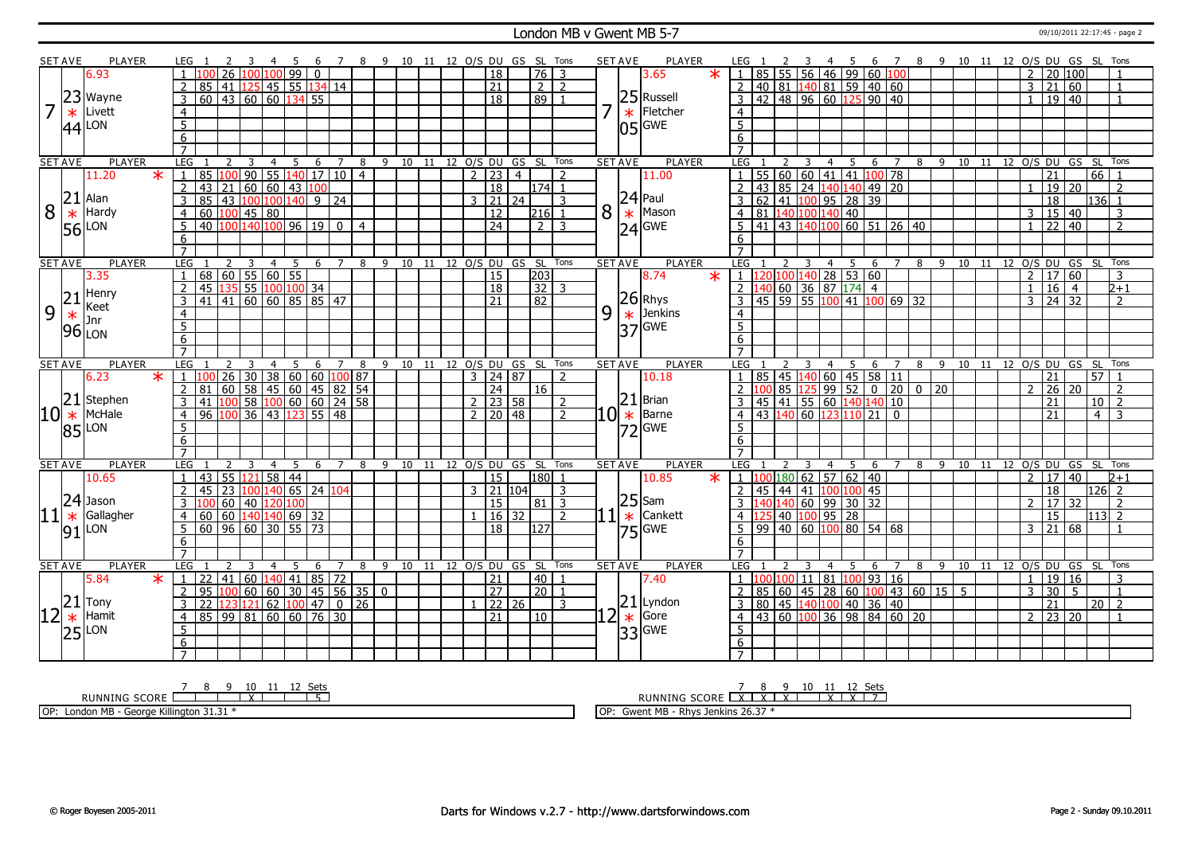### London MB v Gwent MB 5-7 09/10/2011 22:17:45 - page 2

|   | <b>SET AVE</b>        | <b>PLAYER</b>                          |         | LEG 1                       |                |                                                                                       |                | - 5  | -6       |     |             |                |                |  |  |                     | 7 8 9 10 11 12 O/S DU GS SL Tons   |                |   | <b>SET AVE</b> | PLAYER             | LEG 1            | -2                                                                            | $\overline{\mathbf{3}}$ | 4 5            |     |                                                               |                                                              |                                                                       |     | 6 7 8 9 10 11 12 O/S DU GS SL Tons |  |                |                         |                 |                            |                 |      |
|---|-----------------------|----------------------------------------|---------|-----------------------------|----------------|---------------------------------------------------------------------------------------|----------------|------|----------|-----|-------------|----------------|----------------|--|--|---------------------|------------------------------------|----------------|---|----------------|--------------------|------------------|-------------------------------------------------------------------------------|-------------------------|----------------|-----|---------------------------------------------------------------|--------------------------------------------------------------|-----------------------------------------------------------------------|-----|------------------------------------|--|----------------|-------------------------|-----------------|----------------------------|-----------------|------|
|   |                       | 6.93                                   |         |                             |                | 100 26 100 100 99                                                                     |                |      | $\Omega$ |     |             |                |                |  |  | $\sqrt{18}$         | 76 3                               |                |   |                | $\star$<br>3.65    |                  |                                                                               |                         |                |     |                                                               | 1   85   55   56   46   99   60   100                        |                                                                       |     |                                    |  | 2              | l 20 l100l              |                 |                            |                 |      |
|   |                       |                                        |         | $\overline{2}$              |                | 85 41 125 45 55 134 14                                                                |                |      |          |     |             |                |                |  |  | 21                  | $\overline{2}$   $\overline{2}$    |                |   |                |                    |                  |                                                                               |                         |                |     |                                                               | 2   40   81   140   81   59   40   60                        |                                                                       |     |                                    |  | 3              | 21   60                 |                 |                            | $\mathbf{1}$    |      |
|   |                       | 23 Wayne                               |         | $\overline{3}$              |                | $60$   43   60   60   134   55                                                        |                |      |          |     |             |                |                |  |  | $\overline{18}$     | 89 I                               | $\overline{1}$ |   |                | 25 Russell         |                  |                                                                               |                         |                |     |                                                               | 3   42   48   96   60   125   90   40                        |                                                                       |     |                                    |  | $\mathbf{1}$   | 19 40                   |                 |                            | $\overline{1}$  |      |
| 7 | $\ast$                | Livett                                 |         | $\overline{4}$              |                |                                                                                       |                |      |          |     |             |                |                |  |  |                     |                                    |                |   | $\ast$         | Fletcher           | $\overline{4}$   |                                                                               |                         |                |     |                                                               |                                                              |                                                                       |     |                                    |  |                |                         |                 |                            |                 |      |
|   |                       | LON                                    |         | $\overline{5}$              |                |                                                                                       |                |      |          |     |             |                |                |  |  |                     |                                    |                |   |                | GWE                | $\overline{5}$   |                                                                               |                         |                |     |                                                               |                                                              |                                                                       |     |                                    |  |                |                         |                 |                            |                 |      |
|   | 44                    |                                        |         | 6                           |                |                                                                                       |                |      |          |     |             |                |                |  |  |                     |                                    |                |   | l05l           |                    | 6                |                                                                               |                         |                |     |                                                               |                                                              |                                                                       |     |                                    |  |                |                         |                 |                            |                 |      |
|   |                       |                                        |         | $\overline{7}$              |                |                                                                                       |                |      |          |     |             |                |                |  |  |                     |                                    |                |   |                |                    |                  |                                                                               |                         |                |     |                                                               |                                                              |                                                                       |     |                                    |  |                |                         |                 |                            |                 |      |
|   | <b>SET AVE</b>        | <b>PLAYER</b>                          |         | LEG                         | 2              | $\overline{\mathbf{3}}$                                                               | $\overline{4}$ | $-5$ |          |     | 6 7 8       |                |                |  |  |                     | 9 10 11 12 O/S DU GS SL Tons       |                |   | <b>SET AVE</b> | <b>PLAYER</b>      | LEG <sub>1</sub> |                                                                               | 2 3                     |                |     |                                                               | 4567                                                         |                                                                       |     | 8 9 10 11 12 0/S DU GS SL Tons     |  |                |                         |                 |                            |                 |      |
|   |                       | 11.20                                  | $\star$ | $\mathbf{1}$                |                | 85 100 90 55 140 17 10 4                                                              |                |      |          |     |             |                |                |  |  | 2   23   4          |                                    | $\overline{z}$ |   |                | 11.00              |                  |                                                                               |                         |                |     |                                                               | $1 \mid 55 \mid 60 \mid 60 \mid 41 \mid 41 \mid 100 \mid 78$ |                                                                       |     |                                    |  |                | $\overline{21}$         |                 |                            | 66              |      |
|   |                       |                                        |         | 2<br>43                     |                | 21   60   60   43   100                                                               |                |      |          |     |             |                |                |  |  | $\overline{18}$     | 174l                               | $\overline{1}$ |   |                |                    |                  |                                                                               |                         |                |     |                                                               | 43 85 24 140 140 49 20                                       |                                                                       |     |                                    |  |                | 19 20                   |                 |                            | 2               |      |
|   | 21                    | Alan                                   |         | 3                           |                | 85 43 100 100 140 9 24                                                                |                |      |          |     |             |                |                |  |  | $3 \mid 21 \mid 24$ |                                    | 3              |   |                |                    |                  |                                                                               |                         |                |     | 3 62 41 100 95 28 39                                          |                                                              |                                                                       |     |                                    |  |                | 18                      |                 |                            | $136$ 1         |      |
| 8 |                       | Hardy                                  |         | 4 I                         |                | $60 \,  100 $ 45   80                                                                 |                |      |          |     |             |                |                |  |  | $\overline{12}$     | 216 1                              |                | 8 |                | $24$ Paul<br>Mason |                  | $4 \overline{)81 \overline{)140 \overline{100 \overline{140}} \overline{40}}$ |                         |                |     |                                                               |                                                              |                                                                       |     |                                    |  | 3              | 15 40                   |                 |                            |                 | 3    |
|   | $\frac{*}{56}$        |                                        |         |                             |                | 40 100 140 100 96 19 0                                                                |                |      |          |     |             |                |                |  |  | $\sqrt{24}$         | $2 \mid 3$                         |                |   |                |                    |                  |                                                                               |                         |                |     |                                                               |                                                              |                                                                       |     |                                    |  | $\overline{1}$ | $\sqrt{22}$ $\sqrt{40}$ |                 |                            | $\overline{z}$  |      |
|   |                       | LON                                    |         | $5-1$                       |                |                                                                                       |                |      |          |     |             | $\overline{4}$ |                |  |  |                     |                                    |                |   |                | $24$ GWE           |                  |                                                                               |                         |                |     |                                                               |                                                              | $5 \mid 41 \mid 43 \mid 140 \mid 100 \mid 60 \mid 51 \mid 26 \mid 40$ |     |                                    |  |                |                         |                 |                            |                 |      |
|   |                       |                                        |         | 6                           |                |                                                                                       |                |      |          |     |             |                |                |  |  |                     |                                    |                |   |                |                    | 6                |                                                                               |                         |                |     |                                                               |                                                              |                                                                       |     |                                    |  |                |                         |                 |                            |                 |      |
|   |                       |                                        |         | $\overline{7}$              |                |                                                                                       |                |      |          |     |             |                |                |  |  |                     |                                    |                |   |                |                    | $\overline{7}$   |                                                                               |                         |                |     |                                                               |                                                              |                                                                       |     |                                    |  |                |                         |                 |                            |                 |      |
|   | <b>SET AVE</b>        | <b>PLAYER</b>                          |         | LEG                         | $\overline{2}$ | 3                                                                                     | $\overline{4}$ | 5    |          | 6 7 |             | 8              | $\overline{9}$ |  |  |                     | 10 11 12 0/S DU GS SL Tons         |                |   | <b>SET AVE</b> | <b>PLAYER</b>      | LEG              | $\overline{2}$                                                                | $\overline{3}$          |                |     |                                                               | 4 5 6 7                                                      | 8                                                                     |     | 9 10 11 12 0/S DU GS SL            |  |                |                         |                 |                            |                 | Tons |
|   |                       | 3.35                                   |         | $\overline{1}$              |                | 68 60 55 60 55                                                                        |                |      |          |     |             |                |                |  |  | 15                  | 203                                |                |   |                | $\star$<br>8.74    |                  |                                                                               |                         |                |     | 1 120 100 140 28 53 60                                        |                                                              |                                                                       |     |                                    |  |                | 2 17 60                 |                 |                            | $\overline{3}$  |      |
|   |                       | Henry                                  |         | <sup>2</sup>                |                | 45 135 55 100 100 34                                                                  |                |      |          |     |             |                |                |  |  | <sup>18</sup>       | $32 \mid 3$                        |                |   |                |                    |                  |                                                                               |                         |                |     | 2  140  60  36  87  174  4                                    |                                                              |                                                                       |     |                                    |  | 1              | 16                      | $\vert 4 \vert$ |                            | 2+1             |      |
|   | 21                    | Keet                                   |         | 3                           |                | $41 \mid 41 \mid 60 \mid 60 \mid 85 \mid 85 \mid 47$                                  |                |      |          |     |             |                |                |  |  | 21                  | 82                                 |                |   |                | $26$ Rhys          |                  |                                                                               |                         |                |     |                                                               |                                                              | $\frac{145}{59}$ 59 55 100 41 100 69 32                               |     |                                    |  | $\mathbf{3}$   | 24 32                   |                 |                            | $\overline{2}$  |      |
| 9 |                       |                                        |         | $\overline{4}$              |                |                                                                                       |                |      |          |     |             |                |                |  |  |                     |                                    |                | 9 |                | Jenkins            | $\overline{4}$   |                                                                               |                         |                |     |                                                               |                                                              |                                                                       |     |                                    |  |                |                         |                 |                            |                 |      |
|   |                       | $\frac{1}{\frac{1}{1}}$ Keet<br>96 LON |         | 5                           |                |                                                                                       |                |      |          |     |             |                |                |  |  |                     |                                    |                |   | $\frac{*}{37}$ | GWE                | $\overline{5}$   |                                                                               |                         |                |     |                                                               |                                                              |                                                                       |     |                                    |  |                |                         |                 |                            |                 |      |
|   |                       |                                        |         | 6                           |                |                                                                                       |                |      |          |     |             |                |                |  |  |                     |                                    |                |   |                |                    | 6                |                                                                               |                         |                |     |                                                               |                                                              |                                                                       |     |                                    |  |                |                         |                 |                            |                 |      |
|   |                       |                                        |         | $\overline{7}$              |                |                                                                                       |                |      |          |     |             |                |                |  |  |                     |                                    |                |   |                |                    |                  |                                                                               |                         |                |     |                                                               |                                                              |                                                                       |     |                                    |  |                |                         |                 |                            |                 |      |
|   |                       |                                        |         |                             |                |                                                                                       |                |      |          |     |             |                |                |  |  |                     |                                    |                |   |                |                    | <b>LEG</b>       |                                                                               |                         | $\overline{4}$ | -5  |                                                               |                                                              |                                                                       |     |                                    |  |                |                         |                 | 12 O/S DU GS SL            |                 |      |
|   | <b>SET AVE</b>        | <b>PLAYER</b>                          |         | LEG                         |                |                                                                                       | $\overline{4}$ | 5    | 6        |     | $7^{\circ}$ | 8              | 9              |  |  |                     | 10 11 12 O/S DU GS SL Tons         |                |   | <b>SET AVE</b> | <b>PLAYER</b>      |                  |                                                                               |                         |                |     | 6                                                             | 7                                                            | 8                                                                     | - 9 | 10 11                              |  |                |                         |                 |                            |                 | Tons |
|   |                       | 6.23                                   | $\ast$  | $\mathbf{1}$                |                | $26$ 30 38 60 60 100 87                                                               |                |      |          |     |             |                |                |  |  | $3 \mid 24 \mid 87$ |                                    | $\overline{2}$ |   |                | 10.18              |                  |                                                                               |                         |                |     |                                                               | 1   85   45   140   60   45   58   11                        |                                                                       |     |                                    |  |                | 21                      |                 |                            | $57$   1        |      |
|   |                       |                                        |         | $\overline{2}$<br>81        |                | 60   58   45   60   45   82   54                                                      |                |      |          |     |             |                |                |  |  | $\overline{24}$     | 16                                 |                |   |                |                    | 2 100            |                                                                               |                         |                |     |                                                               |                                                              | 85 125 99 52 0 20 0                                                   | 120 |                                    |  | $\mathcal{L}$  | 26                      | l 20.           |                            | $\overline{2}$  |      |
|   |                       | $21$ Stephen                           |         | 41<br>$\overline{3}$        |                | $\vert 100 \vert 58 \vert 100 \vert 60 \vert 60 \vert 24 \vert 58$                    |                |      |          |     |             |                |                |  |  | $2 \mid 23 \mid 58$ |                                    | $\overline{2}$ |   | 21             | Brian              |                  |                                                                               |                         |                |     |                                                               | $3   45   41   55   60   140   140   10$                     |                                                                       |     |                                    |  |                | 21                      |                 |                            | $10 \mid 2$     |      |
|   | $ 10  *$              | McHale                                 |         | 4                           |                | 96 100 36 43 123 55 48                                                                |                |      |          |     |             |                |                |  |  | 2 20 48             |                                    | $\overline{2}$ |   |                | $10$ $\star$ Barne |                  |                                                                               |                         |                |     | $4 \mid 43 \mid 140 \mid 60 \mid 123 \mid 110 \mid 21 \mid 0$ |                                                              |                                                                       |     |                                    |  |                | 21                      |                 |                            | $4 \mid 3$      |      |
|   |                       |                                        |         | 5                           |                |                                                                                       |                |      |          |     |             |                |                |  |  |                     |                                    |                |   |                |                    | 5                |                                                                               |                         |                |     |                                                               |                                                              |                                                                       |     |                                    |  |                |                         |                 |                            |                 |      |
|   | $ 85 $ <sub>LON</sub> |                                        |         | 6                           |                |                                                                                       |                |      |          |     |             |                |                |  |  |                     |                                    |                |   |                | $ 72 $ GWE         | 6                |                                                                               |                         |                |     |                                                               |                                                              |                                                                       |     |                                    |  |                |                         |                 |                            |                 |      |
|   |                       |                                        |         | $\overline{7}$              |                |                                                                                       |                |      |          |     |             |                |                |  |  |                     |                                    |                |   |                |                    |                  |                                                                               |                         |                |     |                                                               |                                                              |                                                                       |     |                                    |  |                |                         |                 |                            |                 |      |
|   | <b>SET AVE</b>        | <b>PLAYER</b>                          |         | <b>LEG</b>                  | $\overline{2}$ | 3                                                                                     | $\overline{4}$ | -5   |          |     |             |                |                |  |  |                     | 6 7 8 9 10 11 12 0/S DU GS SL Tons |                |   | <b>SET AVE</b> | <b>PLAYER</b>      | LEG              |                                                                               |                         | 4 <sub>5</sub> |     |                                                               |                                                              | 6 7 8 9                                                               |     |                                    |  |                |                         |                 | 10 11 12 0/S DU GS SL Tons |                 |      |
|   |                       | 10.65                                  |         | 1   43   55   121   58   44 |                |                                                                                       |                |      |          |     |             |                |                |  |  | $\overline{15}$     | $180$   1                          |                |   |                | 10.85<br>$\star$   |                  |                                                                               |                         |                |     | $1 \overline{100} 180662576240$                               |                                                              |                                                                       |     |                                    |  |                | 2   17   40             |                 |                            | $2 + 1$         |      |
|   |                       |                                        |         | $2^{\circ}$                 |                | 45 23 100 140 65 24 104                                                               |                |      |          |     |             |                |                |  |  | $3$   21   104      |                                    | 3              |   |                |                    | $\overline{2}$   |                                                                               |                         |                |     | 45 44 41 100 100 45                                           |                                                              |                                                                       |     |                                    |  |                | 18                      |                 |                            | 126 2           |      |
|   |                       | $24$ Jason                             |         | $\overline{3}$              |                | 60 40 120 100                                                                         |                |      |          |     |             |                |                |  |  | 15                  | $81$ 3                             |                |   |                | $ 25 $ Sam         |                  |                                                                               |                         |                |     | 140 140 60 99 30 32                                           |                                                              |                                                                       |     |                                    |  |                | $\overline{17}$         | l 32            |                            | $\overline{2}$  |      |
|   | $ 11 *$               | Gallagher                              |         | 4 <sup>1</sup>              |                | 60   60   140   140   69   32                                                         |                |      |          |     |             |                |                |  |  | $16 \mid 32$        |                                    | 2              |   | $\ast$         | Cankett            |                  | $4 \overline{)125} 40 \overline{)100} 95 \overline{)28}$                      |                         |                |     |                                                               |                                                              |                                                                       |     |                                    |  |                | 15                      |                 |                            | 113 2           |      |
|   |                       | LON                                    |         | $5-1$                       |                | 60 96 60 30 55 73                                                                     |                |      |          |     |             |                |                |  |  | $\overline{18}$     | 127                                |                |   |                |                    |                  |                                                                               |                         |                |     |                                                               | $5 \mid 99 \mid 40 \mid 60 \mid 100 \mid 80 \mid 54 \mid 68$ |                                                                       |     |                                    |  | 3              | 21 68                   |                 |                            |                 |      |
|   | 91                    |                                        |         | 6                           |                |                                                                                       |                |      |          |     |             |                |                |  |  |                     |                                    |                |   |                | $ 75 $ GWE         | 6                |                                                                               |                         |                |     |                                                               |                                                              |                                                                       |     |                                    |  |                |                         |                 |                            |                 |      |
|   |                       |                                        |         | $\overline{7}$              |                |                                                                                       |                |      |          |     |             |                |                |  |  |                     |                                    |                |   |                |                    | $\overline{7}$   |                                                                               |                         |                |     |                                                               |                                                              |                                                                       |     |                                    |  |                |                         |                 |                            |                 |      |
|   | <b>SET AVE</b>        | PLAYER                                 |         | LEG                         |                | 3                                                                                     | $\overline{4}$ | .5   | 6        |     | 7           | 8              |                |  |  |                     | 9 10 11 12 O/S DU GS SL Tons       |                |   | <b>SET AVE</b> | <b>PLAYER</b>      | LEG              |                                                                               | 3                       |                | 4 5 | 6                                                             | $\overline{7}$                                               | 8                                                                     |     | 9 10 11 12 O/S DU GS SL            |  |                |                         |                 |                            |                 | Tons |
|   |                       | 5.84                                   | $\star$ | 22<br>$\overline{1}$        |                | $ 41 $ 60 $ 140 $ 41   85   72                                                        |                |      |          |     |             |                |                |  |  | 21                  | 40 <sup>1</sup>                    | $\overline{1}$ |   |                | 7.40               |                  |                                                                               |                         |                |     |                                                               | 1 100 100 11 81 100 93 16                                    |                                                                       |     |                                    |  | $\mathbf{1}$   | 19   16                 |                 |                            | ्र              |      |
|   |                       |                                        |         | 2<br>95                     | 100            | 60   60   30   45   56   35   0                                                       |                |      |          |     |             |                |                |  |  | $\overline{27}$     | l 20 l                             | $\overline{1}$ |   |                |                    | 2                |                                                                               |                         |                |     |                                                               |                                                              | 85 60 45 28 60 100 43 60 15 5                                         |     |                                    |  | 3              | $30 \mid 5$             |                 |                            | $\overline{1}$  |      |
|   |                       | $ 21 $ Tony                            |         | 22<br>$\overline{3}$        |                | $\left  \frac{123}{121} \right  62 \left  \frac{100}{47} \right  0 \left  26 \right $ |                |      |          |     |             |                |                |  |  | 22 26               |                                    | 3              |   |                | $ 21 $ Lyndon      |                  |                                                                               |                         |                |     |                                                               | $3   80   45   140   100   40   36   40$                     |                                                                       |     |                                    |  |                | $\overline{21}$         |                 |                            | $20$ $\sqrt{2}$ |      |
|   |                       | Hamit                                  |         | $\overline{4}$              |                | 85 99 81 60 60 76 30                                                                  |                |      |          |     |             |                |                |  |  | $\overline{21}$     | 10                                 |                |   |                | Gore               |                  |                                                                               |                         |                |     |                                                               |                                                              | $4   43   60   100   36   98   84   60   20$                          |     |                                    |  | 2              | 23 20                   |                 |                            |                 |      |
|   | $12\overline{*}$      | LON                                    |         | 5                           |                |                                                                                       |                |      |          |     |             |                |                |  |  |                     |                                    |                |   | $\ast$         |                    | 5                |                                                                               |                         |                |     |                                                               |                                                              |                                                                       |     |                                    |  |                |                         |                 |                            |                 |      |
|   | 25                    |                                        |         | 6                           |                |                                                                                       |                |      |          |     |             |                |                |  |  |                     |                                    |                |   |                | $ 33 $ GWE         | 6                |                                                                               |                         |                |     |                                                               |                                                              |                                                                       |     |                                    |  |                |                         |                 |                            |                 |      |

RUNNING SCORE 7 8 9 10 X 11 12 Sets 5

OP: London MB - George Killington 31.31 \*

RUNNING SCORE 7 X 8 X 9 X 10 11 X 12 X Sets 7

OP: Gwent MB - Rhys Jenkins 26.37 \*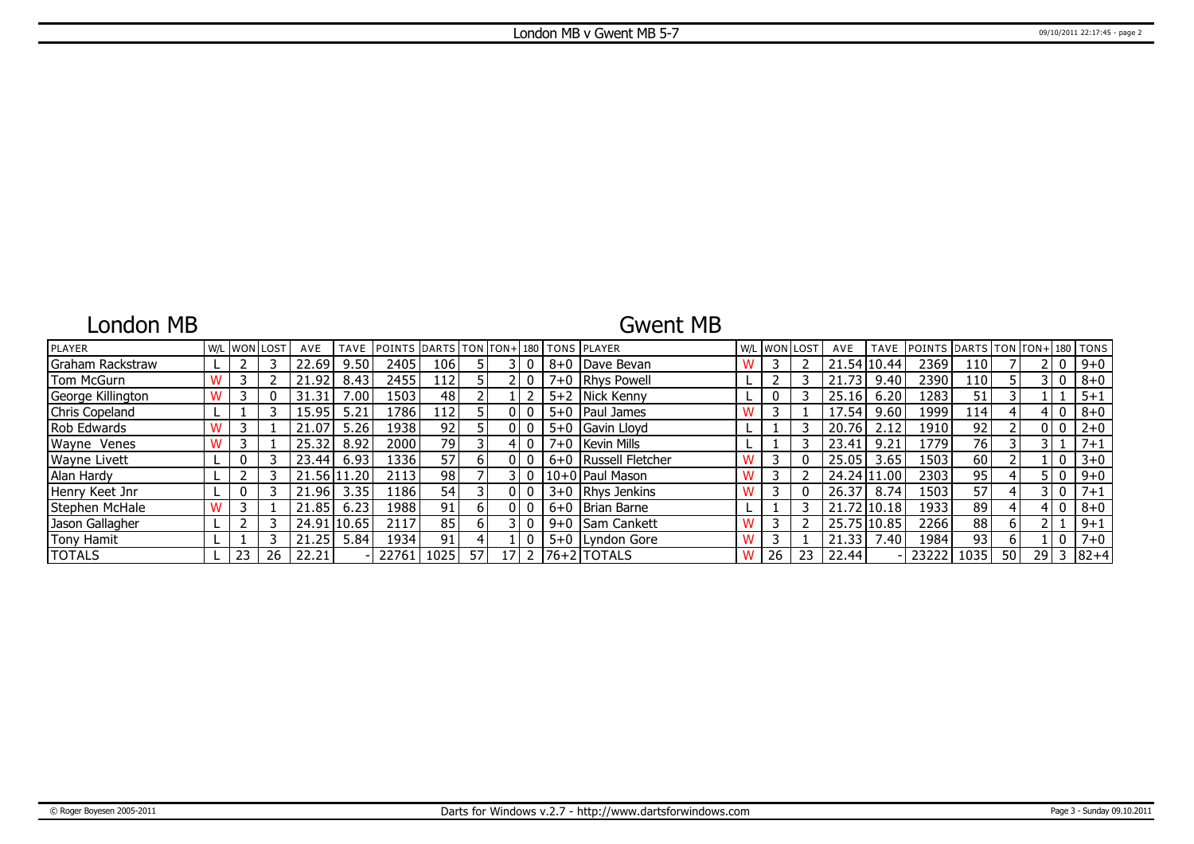# London MB

## Gwent MB

| PLAYER            |  | I W/L IWONILOST | AVE   | <b>TAVE</b> | <b>IPOINTS IDARTS ITON ITON+1180 ITONS IPLAYER</b> |      |     |                 |  |                        |    | W/L WON LOST | AVE         |             | TAVE POINTS DARTS TON FON+1180 TONS |      |    |      |                |           |
|-------------------|--|-----------------|-------|-------------|----------------------------------------------------|------|-----|-----------------|--|------------------------|----|--------------|-------------|-------------|-------------------------------------|------|----|------|----------------|-----------|
| Graham Rackstraw  |  |                 | 22.69 | 9.50        | 2405                                               | 106  |     |                 |  | 8+0 Dave Bevan         |    |              |             | 21.54 10.44 | 2369                                | 110  |    |      | 0              | $9 + 0$   |
| Tom McGurn        |  |                 | 21.92 | 8.43        | 2455                                               | 112  |     |                 |  | 7+0   Rhys Powell      |    |              | 21.73       | 9.40        | 2390                                | 110  |    |      | 3 I O          | $8 + 0$   |
| George Killington |  |                 | 31.31 | 00.         | 1503                                               | 48   |     |                 |  | 5+2   Nick Kenny       |    |              | 25.16       | 6.20        | 1283                                | 51   |    |      |                | $5 + 1$   |
| Chris Copeland    |  |                 | 15.95 | 5.21        | .786                                               | 112  |     |                 |  | $5+0$   Paul James     |    |              | 17.54       | 9.60        | 1999                                | 114  |    |      | 0              | $8 + 0$   |
| Rob Edwards       |  |                 | 21.07 | 5.26        | 1938                                               | 92   |     |                 |  | 5+0 Gavin Lloyd        |    |              | 20.76       | 2.12        | 1910                                | 92   |    |      | 0 <sub>0</sub> | $2 + 0$   |
| Wayne Venes       |  |                 | 25.32 | 8.92        | 2000                                               | 79   |     |                 |  | 7+0   Kevin Mills      |    |              | 23.41       | 9.21        | 1779                                | 76   |    |      |                | $7 + 1$   |
| Wayne Livett      |  |                 | 23.44 | 6.93        | 1336                                               | 57   | h I |                 |  | 6+0   Russell Fletcher |    |              | 25.05       | 3.65        | 1503                                | 60   |    |      | $\overline{0}$ | $3 + 0$   |
| Alan Hardy        |  |                 |       | 21.56 11.20 | 2113                                               | 98 I |     |                 |  | 10+0 Paul Mason        |    |              | 24.24 11.00 |             | 2303                                | 95   |    |      | 5 I O          | $9 + 0$   |
| Henry Keet Jnr    |  |                 | 21.96 | 3.35        | 1186                                               | 54   |     |                 |  | $3+0$ Rhys Jenkins     |    |              | 26.37       | 8.74        | 1503                                | 57   |    |      | 3 I O          | $7 + 1$   |
| Stephen McHale    |  |                 | 21.85 | 6.23        | 1988                                               | 91   | h   |                 |  | 6+0   Brian Barne      |    |              | 21.72 10.18 |             | 1933                                | 89   |    |      | $\mathbf{0}$   | $8 + 0$   |
| Jason Gallagher   |  |                 | 24.91 | 10.65       | 2117                                               | 85   |     |                 |  | 9+0 Sam Cankett        |    |              | 25.75 10.85 |             | 2266                                | 88   | 6  |      |                | $9 + 1$   |
| Tony Hamit        |  |                 | 21.25 | 5.84        | 1934                                               | 91   |     |                 |  | 5+0 Lyndon Gore        |    |              | 21.33       | 7.40        | 1984                                | 93   |    |      |                | $7 + 0$   |
| <b>TOTALS</b>     |  | 26              | 22.21 |             | 22761                                              | 1025 | 57  | 17 <sub>1</sub> |  | $2$  76+2 TOTALS       | 26 | 23           | 22.44       |             | 232221                              | 1035 | 50 | 29 I |                | $3 82+4 $ |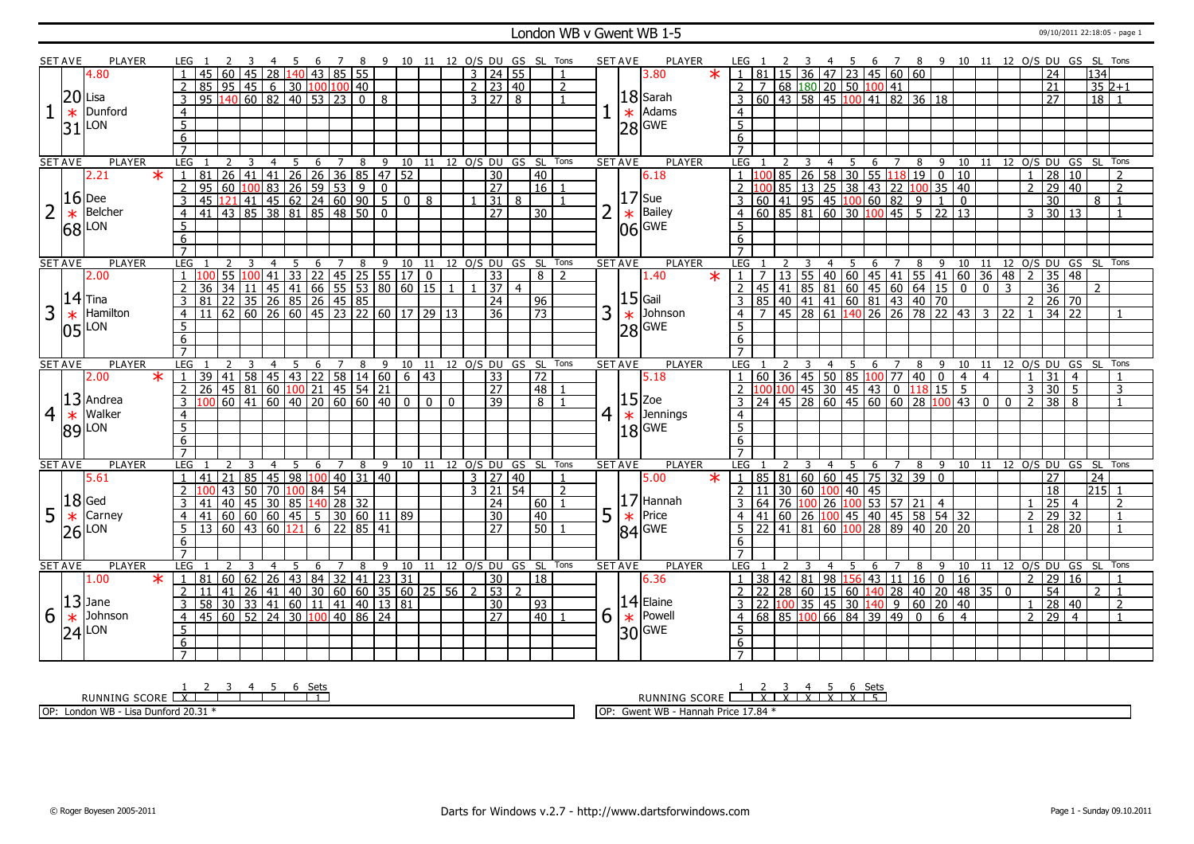### London WB v Gwent WB 1-5 09/10/2011 22:18:05 - page 1

|                | <b>SET AVE</b> | <b>PLAYER</b>       |         | LEG 1          |                            |                              |                | - 5 | - 6                                                                                         | 78              |                | 9 10 11 12 O/S DU GS SL Tons |                         |          |          |             |                     |                 |                 |                |   | <b>SET AVE</b> | <b>PLAYER</b>       | LEG 1          |                 | 3                       |                |                                                         |   |                |                           |   |                                                                                                                                                                                                                                                                         |                                                                                                                                                |                |                 |                    |                 | 4 5 6 7 8 9 10 11 12 O/S DU GS SL Tons |
|----------------|----------------|---------------------|---------|----------------|----------------------------|------------------------------|----------------|-----|---------------------------------------------------------------------------------------------|-----------------|----------------|------------------------------|-------------------------|----------|----------|-------------|---------------------|-----------------|-----------------|----------------|---|----------------|---------------------|----------------|-----------------|-------------------------|----------------|---------------------------------------------------------|---|----------------|---------------------------|---|-------------------------------------------------------------------------------------------------------------------------------------------------------------------------------------------------------------------------------------------------------------------------|------------------------------------------------------------------------------------------------------------------------------------------------|----------------|-----------------|--------------------|-----------------|----------------------------------------|
|                |                | 4.80                |         |                | 45<br>60                   | 45                           |                |     | 28 140 43 85 55                                                                             |                 |                |                              |                         |          |          |             | 3   24   55         |                 |                 |                |   |                | 3.80<br>$\ast$      |                | 81              |                         |                |                                                         |   |                | $15$ 36 47 23 45 60 60    |   |                                                                                                                                                                                                                                                                         |                                                                                                                                                |                | 24              |                    | 134             |                                        |
|                |                |                     |         | $\overline{2}$ | 85                         |                              |                |     | $\boxed{95}$ $\boxed{45}$ $\boxed{6}$ $\boxed{30}$ $\boxed{100}$ $\boxed{100}$ $\boxed{40}$ |                 |                |                              |                         |          |          |             | $2 \mid 23 \mid 40$ |                 |                 | $\overline{2}$ |   |                |                     | $\mathcal{P}$  |                 |                         |                |                                                         |   |                |                           |   |                                                                                                                                                                                                                                                                         |                                                                                                                                                |                | 21              |                    |                 | $352+1$                                |
|                |                | $20$ Lisa           |         | 3              | 95<br>140                  |                              |                |     | $\boxed{60}$ $\boxed{82}$ $\boxed{40}$ $\boxed{53}$ $\boxed{23}$                            |                 | $\overline{0}$ | 8                            |                         |          |          |             | 3 27 8              |                 |                 |                |   |                | $18$ Sarah          | 3              |                 |                         |                | 7 68 180 20 50 100 41<br>60 43 58 45 100 41 82          |   |                | $141$ 82 36 18            |   |                                                                                                                                                                                                                                                                         |                                                                                                                                                |                | 27              |                    | $\overline{18}$ |                                        |
|                | $\ast$         | Dunford             |         | $\overline{4}$ |                            |                              |                |     |                                                                                             |                 |                |                              |                         |          |          |             |                     |                 |                 |                |   | $\ast$         | Adams               | $\overline{4}$ |                 |                         |                |                                                         |   |                |                           |   |                                                                                                                                                                                                                                                                         |                                                                                                                                                |                |                 |                    |                 |                                        |
|                |                |                     |         | $\overline{5}$ |                            |                              |                |     |                                                                                             |                 |                |                              |                         |          |          |             |                     |                 |                 |                |   |                |                     | $\overline{5}$ |                 |                         |                |                                                         |   |                |                           |   |                                                                                                                                                                                                                                                                         |                                                                                                                                                |                |                 |                    |                 |                                        |
|                |                | $ 31 $ LON          |         | $\overline{6}$ |                            |                              |                |     |                                                                                             |                 |                |                              |                         |          |          |             |                     |                 |                 |                |   |                | $28$ GWE            |                |                 |                         |                |                                                         |   |                |                           |   |                                                                                                                                                                                                                                                                         |                                                                                                                                                |                |                 |                    |                 |                                        |
|                |                |                     |         | $\overline{7}$ |                            |                              |                |     |                                                                                             |                 |                |                              |                         |          |          |             |                     |                 |                 |                |   |                |                     | 6              |                 |                         |                |                                                         |   |                |                           |   |                                                                                                                                                                                                                                                                         |                                                                                                                                                |                |                 |                    |                 |                                        |
|                | <b>SET AVE</b> | <b>PLAYER</b>       |         | LEG 1          | 2                          | $\overline{\mathbf{3}}$      | $\overline{4}$ |     | 5 6 7 8 9 10 11 12 O/S DU GS SL Tons                                                        |                 |                |                              |                         |          |          |             |                     |                 |                 |                |   | <b>SET AVE</b> | <b>PLAYER</b>       | LEG 1          |                 | $\overline{\mathbf{3}}$ |                |                                                         |   |                |                           |   |                                                                                                                                                                                                                                                                         |                                                                                                                                                |                |                 |                    |                 | 4 5 6 7 8 9 10 11 12 O/S DU GS SL Tons |
|                |                | 2.21                | $\ast$  |                | 81                         |                              |                |     | 26 41 41 26 26 36 85 47 52                                                                  |                 |                |                              |                         |          |          |             | $\overline{30}$     |                 | 40              |                |   |                | 6.18                |                |                 |                         |                |                                                         |   |                | 85 26 58 30 55 18 19 0 10 |   |                                                                                                                                                                                                                                                                         |                                                                                                                                                | $\mathbf{1}$   | $\overline{28}$ | 10                 |                 |                                        |
|                |                |                     |         |                | 60<br>95                   |                              | 100 83         |     |                                                                                             |                 |                | $\mathbf{0}$                 |                         |          |          |             | 27                  |                 | 16              |                |   |                |                     |                |                 |                         |                |                                                         |   |                |                           |   |                                                                                                                                                                                                                                                                         |                                                                                                                                                | $\overline{2}$ |                 |                    |                 | $\overline{2}$                         |
|                |                | $16$ Dee            |         | $\overline{2}$ |                            |                              |                |     | $26 \mid 59 \mid 53 \mid 9$                                                                 |                 |                |                              |                         |          |          |             |                     |                 |                 |                |   |                | $17$ Sue            |                |                 |                         |                |                                                         |   |                |                           |   |                                                                                                                                                                                                                                                                         |                                                                                                                                                |                | $\overline{30}$ | 29 40              |                 | $\overline{1}$                         |
|                |                | Belcher             |         | 3              | 45                         |                              |                |     | 121 41 45 62 24 60 90 5 0 8<br>43 85 38 81 85 48 50 0                                       |                 |                |                              |                         |          |          |             | $31 \mid 8$         |                 |                 |                |   |                | Bailey              |                |                 |                         |                |                                                         |   |                |                           |   | $\frac{10085}{10085}$ $\frac{130813}{1308}$ $\frac{130813}{1308}$ $\frac{130813}{1308}$ $\frac{130813}{1308}$ $\frac{130813}{1308}$ $\frac{130813}{1308}$ $\frac{130813}{1308}$ $\frac{130813}{1308}$ $\frac{130813}{1308}$ $\frac{130813}{1308}$ $\frac{130813}{1308}$ |                                                                                                                                                |                |                 |                    | 8               |                                        |
| $\overline{2}$ | $\ast$         |                     |         | $\overline{4}$ | 41                         |                              |                |     |                                                                                             |                 |                |                              |                         |          |          |             | $\overline{27}$     |                 | $\overline{30}$ |                |   | $\ast$         |                     |                |                 |                         |                |                                                         |   |                |                           |   |                                                                                                                                                                                                                                                                         |                                                                                                                                                | 3              | 30              | l 13               |                 |                                        |
|                |                | $ 68 $ LON          |         | 5              |                            |                              |                |     |                                                                                             |                 |                |                              |                         |          |          |             |                     |                 |                 |                |   |                | $06$ GME            | 5              |                 |                         |                |                                                         |   |                |                           |   |                                                                                                                                                                                                                                                                         |                                                                                                                                                |                |                 |                    |                 |                                        |
|                |                |                     |         | 6              |                            |                              |                |     |                                                                                             |                 |                |                              |                         |          |          |             |                     |                 |                 |                |   |                |                     | 6              |                 |                         |                |                                                         |   |                |                           |   |                                                                                                                                                                                                                                                                         |                                                                                                                                                |                |                 |                    |                 |                                        |
|                |                |                     |         | $\overline{7}$ |                            |                              |                |     |                                                                                             |                 |                |                              |                         |          |          |             |                     |                 |                 |                |   |                |                     |                |                 |                         |                |                                                         |   |                |                           |   |                                                                                                                                                                                                                                                                         |                                                                                                                                                |                |                 |                    |                 |                                        |
|                | <b>SET AVE</b> | <b>PLAYER</b>       |         | LEG            |                            |                              |                | 5   | 6                                                                                           | $7\overline{ }$ | 8              | 9 10 11 12 O/S DU GS SL Tons |                         |          |          |             |                     |                 |                 |                |   | <b>SET AVE</b> | <b>PLAYER</b>       | LEG            |                 |                         | $\overline{4}$ | 5                                                       | 6 | $\overline{7}$ |                           |   |                                                                                                                                                                                                                                                                         |                                                                                                                                                |                |                 |                    |                 | 8 9 10 11 12 O/S DU GS SL Tons         |
|                |                | 2.00                |         |                |                            | 55 100                       | 41             |     | $33$ 22 45 25 55 17 0                                                                       |                 |                |                              |                         |          |          |             | 33                  |                 | 8   2           |                |   |                | 1.40<br>$\ast$      |                |                 |                         |                |                                                         |   |                |                           |   |                                                                                                                                                                                                                                                                         | 7 13 55 40 60 45 41 55 41 60 36 48 2<br>45 41 85 81 60 45 60 64 15 0 0 3<br>85 40 41 41 60 81 43 40 70<br>7 45 28 61 140 26 26 78 22 43 3 22 1 |                |                 | $35 \mid 48$       |                 |                                        |
|                |                | $ 14 $ Tina         |         | $\overline{2}$ | 36                         |                              |                |     | 34 11 45 41 66 55 53 80 60 15 1<br>22 35 26 85 26 45 85<br>62 60 26 60 45 23 22 60 17 29 13 |                 |                |                              |                         |          |          |             | 37 4                |                 |                 |                |   |                |                     | 2              |                 |                         |                |                                                         |   |                |                           |   |                                                                                                                                                                                                                                                                         |                                                                                                                                                |                | $\overline{36}$ |                    | $\overline{2}$  |                                        |
|                |                |                     |         | 3              | 81                         |                              |                |     |                                                                                             |                 |                |                              |                         |          |          |             | $\overline{24}$     |                 | $\sqrt{96}$     |                |   |                | $15$ Gail           |                |                 |                         |                |                                                         |   |                |                           |   |                                                                                                                                                                                                                                                                         |                                                                                                                                                |                |                 | $26 \overline{70}$ |                 |                                        |
| 3              | $\ast$         | Hamilton            |         | 4              |                            |                              |                |     |                                                                                             |                 |                |                              |                         |          |          |             | $\overline{36}$     |                 | $\overline{73}$ |                | 3 | $\ast$         | Johnson             | $\overline{4}$ |                 |                         |                |                                                         |   |                |                           |   |                                                                                                                                                                                                                                                                         |                                                                                                                                                |                |                 | $34$ 22            |                 |                                        |
|                |                | $ 05 $ LON          |         | 5              |                            |                              |                |     |                                                                                             |                 |                |                              |                         |          |          |             |                     |                 |                 |                |   |                | 28 GWE              | 5              |                 |                         |                |                                                         |   |                |                           |   |                                                                                                                                                                                                                                                                         |                                                                                                                                                |                |                 |                    |                 |                                        |
|                |                |                     |         | 6              |                            |                              |                |     |                                                                                             |                 |                |                              |                         |          |          |             |                     |                 |                 |                |   |                |                     | 6              |                 |                         |                |                                                         |   |                |                           |   |                                                                                                                                                                                                                                                                         |                                                                                                                                                |                |                 |                    |                 |                                        |
|                |                |                     |         | $\overline{7}$ |                            |                              |                |     |                                                                                             |                 |                |                              |                         |          |          |             |                     |                 |                 |                |   |                |                     |                |                 |                         |                |                                                         |   |                |                           |   |                                                                                                                                                                                                                                                                         |                                                                                                                                                |                |                 |                    |                 |                                        |
|                | <b>SET AVE</b> | <b>PLAYER</b>       |         | LEG            |                            |                              | 4              | 5   | 6                                                                                           | 7               | 8              | 9 10 11 12 O/S DU GS SL Tons |                         |          |          |             |                     |                 |                 |                |   | <b>SET AVE</b> | <b>PLAYER</b>       | LEG            |                 |                         | 4              | - 5                                                     | 6 |                |                           |   |                                                                                                                                                                                                                                                                         |                                                                                                                                                |                |                 |                    |                 | 8 9 10 11 12 0/S DU GS SL Tons         |
|                |                | 2.00                | $\ast$  | $\mathbf{1}$   | 39                         |                              |                |     |                                                                                             |                 |                |                              |                         |          |          |             | $\overline{33}$     |                 | $\overline{72}$ |                |   |                | 5.18                |                |                 |                         |                |                                                         |   |                |                           |   |                                                                                                                                                                                                                                                                         |                                                                                                                                                | $\mathbf{1}$   | $\overline{31}$ | $\overline{4}$     |                 |                                        |
|                |                |                     |         |                |                            |                              |                |     |                                                                                             |                 |                |                              |                         |          |          |             |                     |                 |                 |                |   |                |                     |                |                 |                         |                |                                                         |   |                |                           |   |                                                                                                                                                                                                                                                                         |                                                                                                                                                |                |                 |                    |                 |                                        |
|                |                |                     |         | $\overline{2}$ | 26                         | 41 58 45 43 22 58 14 60 6 43 |                |     |                                                                                             |                 |                |                              |                         |          |          |             | $\overline{27}$     |                 | 48              |                |   |                |                     |                |                 |                         |                |                                                         |   |                |                           |   |                                                                                                                                                                                                                                                                         |                                                                                                                                                | $\overline{3}$ | $\overline{30}$ | -5                 |                 | 3                                      |
| 4              |                | $ 13 $ Andrea       |         | 3              |                            | 60   41                      |                |     | $\boxed{60}$ $\boxed{40}$ $\boxed{20}$ $\boxed{60}$ $\boxed{60}$ $\boxed{40}$               |                 |                |                              | $\overline{0}$          | $\Omega$ | $\Omega$ |             | 39                  |                 | 8 <sup>1</sup>  |                |   |                | $15$ Zoe            |                |                 |                         |                |                                                         |   |                |                           |   | 0 1 36 1 45 1 50 1 85 100 1 77 140 10 14 14<br>100 100 145 130 145 143 10 118 15 15<br>24 145 28 60 145 60 60 28 100 143 10                                                                                                                                             | $\Omega$                                                                                                                                       | $\overline{2}$ | $\overline{38}$ | 8                  |                 |                                        |
|                | $\ast$         | Walker              |         | $\overline{4}$ |                            |                              |                |     |                                                                                             |                 |                |                              |                         |          |          |             |                     |                 |                 |                | 4 | $\ast$         | Jennings            | $\overline{4}$ |                 |                         |                |                                                         |   |                |                           |   |                                                                                                                                                                                                                                                                         |                                                                                                                                                |                |                 |                    |                 |                                        |
|                |                |                     |         | $\overline{5}$ |                            |                              |                |     |                                                                                             |                 |                |                              |                         |          |          |             |                     |                 |                 |                |   |                |                     | 5 <sup>5</sup> |                 |                         |                |                                                         |   |                |                           |   |                                                                                                                                                                                                                                                                         |                                                                                                                                                |                |                 |                    |                 |                                        |
|                |                | 89 LON              |         | 6              |                            |                              |                |     |                                                                                             |                 |                |                              |                         |          |          |             |                     |                 |                 |                |   |                | $18$ <sup>GWE</sup> | 6              |                 |                         |                |                                                         |   |                |                           |   |                                                                                                                                                                                                                                                                         |                                                                                                                                                |                |                 |                    |                 |                                        |
|                |                |                     |         | $\overline{7}$ |                            |                              |                |     |                                                                                             |                 |                |                              |                         |          |          |             |                     |                 |                 |                |   |                |                     | $\overline{7}$ |                 |                         |                |                                                         |   |                |                           |   |                                                                                                                                                                                                                                                                         |                                                                                                                                                |                |                 |                    |                 |                                        |
|                | <b>SET AVE</b> | <b>PLAYER</b>       |         | LEG            |                            |                              |                | 5   | - 6                                                                                         | $\overline{7}$  | 8              | 9 10 11 12 O/S DU GS SL Tons |                         |          |          |             |                     |                 |                 |                |   | <b>SET AVE</b> | <b>PLAYER</b>       | LEG 1          |                 | $\overline{3}$          | $\overline{4}$ | $\overline{5}$                                          | 6 | $\overline{7}$ | 8 9                       |   |                                                                                                                                                                                                                                                                         |                                                                                                                                                |                |                 |                    |                 | 10 11 12 O/S DU GS SL Tons             |
|                |                | 5.61                |         |                | 21<br>41                   | 85                           |                |     | 45   98   100   40   31   40                                                                |                 |                |                              |                         |          |          |             | $3 \mid 27 \mid 40$ |                 |                 | $\mathbf{1}$   |   |                | 5.00<br>$\star$     | $\overline{1}$ |                 |                         |                |                                                         |   |                | 85 81 60 60 45 75 32 39 0 |   |                                                                                                                                                                                                                                                                         |                                                                                                                                                |                | $\overline{27}$ |                    | $\overline{24}$ |                                        |
|                |                |                     |         | $\overline{2}$ | 43                         | 50                           | 70             |     | 100 84 54                                                                                   |                 |                |                              |                         |          |          | $3 \mid 21$ |                     | $\overline{54}$ |                 | $\overline{2}$ |   |                |                     | 2              | 11              |                         |                | 30 60 100 40 45                                         |   |                |                           |   |                                                                                                                                                                                                                                                                         |                                                                                                                                                |                | $\overline{18}$ |                    | $215$ 1         |                                        |
|                |                | $ 18 $ Ged          |         | 3              | $\overline{40}$<br>41      | 45                           |                |     | 30   85   140   28   32                                                                     |                 |                |                              |                         |          |          |             | 24                  |                 | 60              |                |   |                | $17$ Hannah         |                |                 |                         | 64 76 100 26   |                                                         |   |                | $100$ 53 57 21 4          |   |                                                                                                                                                                                                                                                                         |                                                                                                                                                |                | 25              | $\overline{4}$     |                 | $\overline{2}$                         |
| 5              | $\ast$         | Carney              |         | $\overline{4}$ | 60<br>41                   |                              |                |     | 60 60 45 5 30 60 11 89                                                                      |                 |                |                              |                         |          |          |             | 30                  |                 | $ 40\rangle$    |                |   |                | Price               |                |                 |                         |                |                                                         |   |                |                           |   |                                                                                                                                                                                                                                                                         |                                                                                                                                                | $\overline{2}$ |                 | 29 32              |                 | $\mathbf{1}$                           |
|                |                |                     |         | 5 <sup>1</sup> | 13 60 43 60 121 6 22 85 41 |                              |                |     |                                                                                             |                 |                |                              |                         |          |          |             | 27                  |                 | 150 L           |                | 5 | $\ast$         |                     | .5             |                 |                         |                |                                                         |   |                |                           |   | 41 60 26 100 45 40 45 58 54 32<br>22 41 81 60 100 28 89 40 20 20                                                                                                                                                                                                        |                                                                                                                                                | $\mathbf{1}$   |                 | 28 20              |                 |                                        |
|                |                | $26$ <sup>LON</sup> |         | 6              |                            |                              |                |     |                                                                                             |                 |                |                              |                         |          |          |             |                     |                 |                 |                |   |                | $ 84 $ GWE          | 6              |                 |                         |                |                                                         |   |                |                           |   |                                                                                                                                                                                                                                                                         |                                                                                                                                                |                |                 |                    |                 |                                        |
|                |                |                     |         | $\overline{7}$ |                            |                              |                |     |                                                                                             |                 |                |                              |                         |          |          |             |                     |                 |                 |                |   |                |                     | $\overline{7}$ |                 |                         |                |                                                         |   |                |                           |   |                                                                                                                                                                                                                                                                         |                                                                                                                                                |                |                 |                    |                 |                                        |
|                | <b>SET AVE</b> | <b>PLAYER</b>       |         | LEG            |                            |                              | 4              | -5  | 6                                                                                           | 7               | 8              |                              | 9 10 11 12 0/S DU GS SL |          |          |             |                     |                 |                 | Tons           |   | <b>SET AVE</b> | <b>PLAYER</b>       | LEG 1          |                 | 3                       | 4              | -5                                                      | 6 | 7              | 8                         |   |                                                                                                                                                                                                                                                                         | 9 10 11 12 0/S DU GS SL                                                                                                                        |                |                 |                    |                 | Tons                                   |
|                |                | 1.00                | $\star$ | 1   81         | 60                         | 62                           |                |     | 26 43 84 32 41 23 31                                                                        |                 |                |                              |                         |          |          |             | 30                  |                 | 18              |                |   |                | 6.36                |                | 38 42 81        |                         |                | 98 156                                                  |   |                | 43 11 16 0                |   | <sup>16</sup>                                                                                                                                                                                                                                                           |                                                                                                                                                | $\overline{2}$ | 29              | l 16               |                 |                                        |
|                |                |                     |         | $\overline{2}$ | 41<br>11                   | 26                           |                |     | $141$   40   30   60   60   35   60   25   56   2   53   2                                  |                 |                |                              |                         |          |          |             |                     |                 |                 |                |   |                |                     |                | $\overline{22}$ |                         |                | 28 60 15 60                                             |   |                |                           |   | $140$ 28 40 20 48 35 0                                                                                                                                                                                                                                                  |                                                                                                                                                |                | $\overline{54}$ |                    | 2               | $\overline{1}$                         |
|                |                | $ 13 $ Jane         |         | $\overline{3}$ | 58                         |                              |                |     | 30 33 41 60 11 41 40 13 81                                                                  |                 |                |                              |                         |          |          |             | 30                  |                 | $ 93\rangle$    |                |   |                | $14$ Elaine         | 3              |                 |                         |                | $\sqrt{22}$ $\sqrt{100}$ 35 $\sqrt{45}$ 30 $\sqrt{140}$ |   |                | $9 \ 60 \ 20 \ 40$        |   |                                                                                                                                                                                                                                                                         |                                                                                                                                                | $\mathbf{1}$   | $\overline{28}$ | 40                 |                 | $\overline{2}$                         |
|                |                | Johnson             |         | $\overline{4}$ | 45                         | 60   52                      |                |     | 24 30 100 40 86 24                                                                          |                 |                |                              |                         |          |          |             | $\overline{27}$     |                 | $40$   1        |                |   |                | Powell              | 4              |                 |                         |                | 68 85 100 66 84 39 49                                   |   |                | $\overline{0}$            | 6 | $\vert 4 \vert$                                                                                                                                                                                                                                                         |                                                                                                                                                | $\overline{2}$ | $\overline{29}$ | $\overline{4}$     |                 |                                        |
| 6              | $\ast$         |                     |         | 5              |                            |                              |                |     |                                                                                             |                 |                |                              |                         |          |          |             |                     |                 |                 |                | 6 | $\ast$         |                     | 5              |                 |                         |                |                                                         |   |                |                           |   |                                                                                                                                                                                                                                                                         |                                                                                                                                                |                |                 |                    |                 |                                        |
|                |                | $24$ <sup>LON</sup> |         | 6              |                            |                              |                |     |                                                                                             |                 |                |                              |                         |          |          |             |                     |                 |                 |                |   |                | $ 30 $ GWE          | 6              |                 |                         |                |                                                         |   |                |                           |   |                                                                                                                                                                                                                                                                         |                                                                                                                                                |                |                 |                    |                 |                                        |

RUNNING SCORE 1 X 2 3 4 5 6 Sets 1

OP: London WB - Lisa Dunford 20.31 \*

<u>1 2 3 4 5 6 Sets</u><br>RUNNING SCORE <u>| X | X | X | X | X | 5</u>

OP: Gwent WB - Hannah Price 17.84 \*